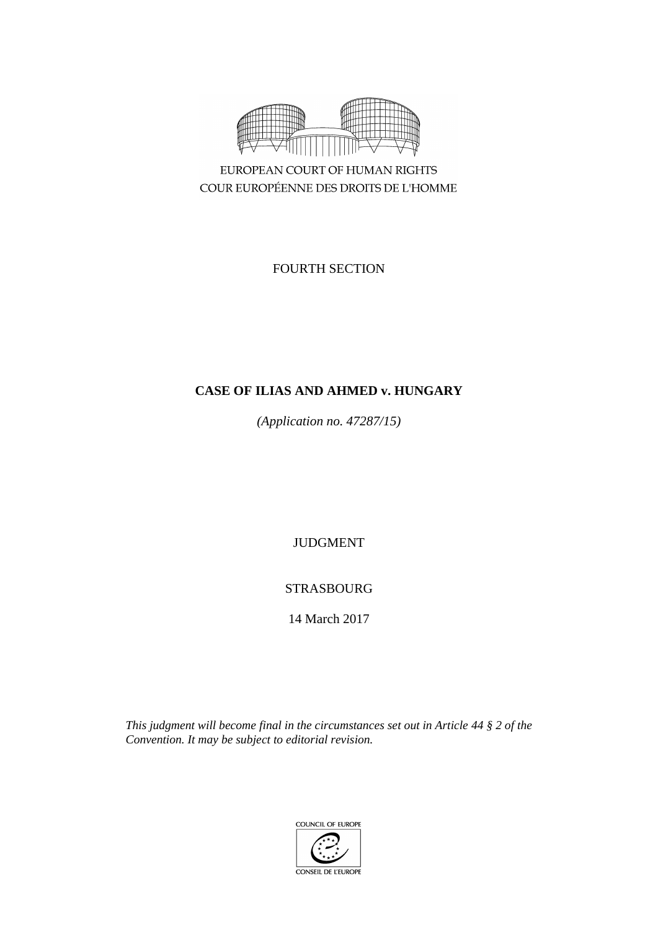

EUROPEAN COURT OF HUMAN RIGHTS COUR EUROPÉENNE DES DROITS DE L'HOMME

FOURTH SECTION

# **CASE OF ILIAS AND AHMED v. HUNGARY**

*(Application no. 47287/15)*

JUDGMENT

STRASBOURG

14 March 2017

*This judgment will become final in the circumstances set out in Article 44 § 2 of the Convention. It may be subject to editorial revision.*

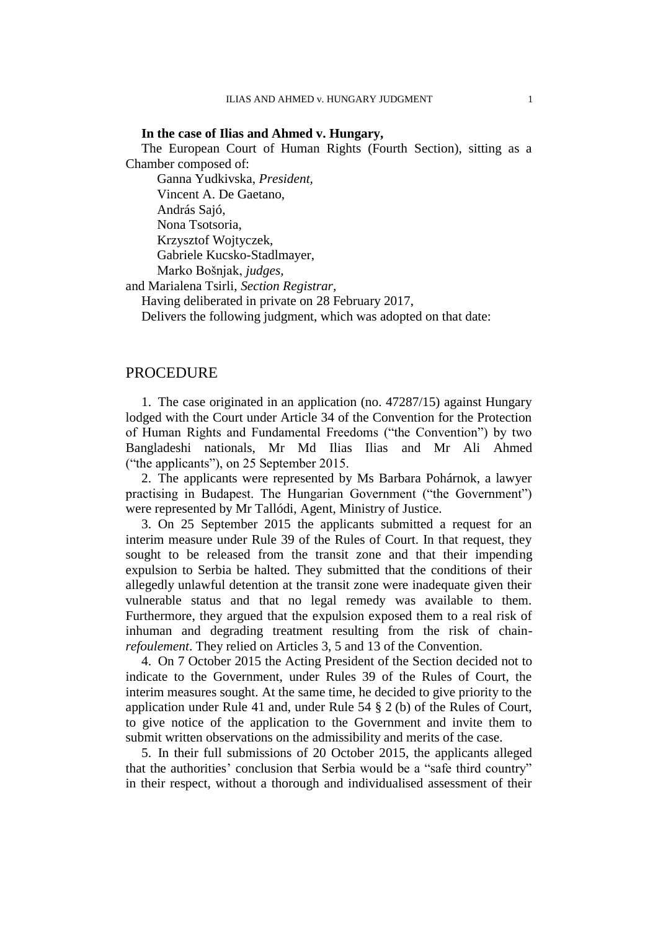### **In the case of Ilias and Ahmed v. Hungary,**

The European Court of Human Rights (Fourth Section), sitting as a Chamber composed of:

Ganna Yudkivska, *President,* Vincent A. De Gaetano, András Sajó, Nona Tsotsoria, Krzysztof Wojtyczek, Gabriele Kucsko-Stadlmayer, Marko Bošnjak, *judges,*

and Marialena Tsirli, *Section Registrar,*

Having deliberated in private on 28 February 2017,

Delivers the following judgment, which was adopted on that date:

## PROCEDURE

1. The case originated in an application (no. 47287/15) against Hungary lodged with the Court under Article 34 of the Convention for the Protection of Human Rights and Fundamental Freedoms ("the Convention") by two Bangladeshi nationals, Mr Md Ilias Ilias and Mr Ali Ahmed ("the applicants"), on 25 September 2015.

2. The applicants were represented by Ms Barbara Pohárnok, a lawyer practising in Budapest. The Hungarian Government ("the Government") were represented by Mr Tallódi, Agent, Ministry of Justice.

3. On 25 September 2015 the applicants submitted a request for an interim measure under Rule 39 of the Rules of Court. In that request, they sought to be released from the transit zone and that their impending expulsion to Serbia be halted. They submitted that the conditions of their allegedly unlawful detention at the transit zone were inadequate given their vulnerable status and that no legal remedy was available to them. Furthermore, they argued that the expulsion exposed them to a real risk of inhuman and degrading treatment resulting from the risk of chain*refoulement*. They relied on Articles 3, 5 and 13 of the Convention.

4. On 7 October 2015 the Acting President of the Section decided not to indicate to the Government, under Rules 39 of the Rules of Court, the interim measures sought. At the same time, he decided to give priority to the application under Rule 41 and, under Rule 54 § 2 (b) of the Rules of Court, to give notice of the application to the Government and invite them to submit written observations on the admissibility and merits of the case.

5. In their full submissions of 20 October 2015, the applicants alleged that the authorities' conclusion that Serbia would be a "safe third country" in their respect, without a thorough and individualised assessment of their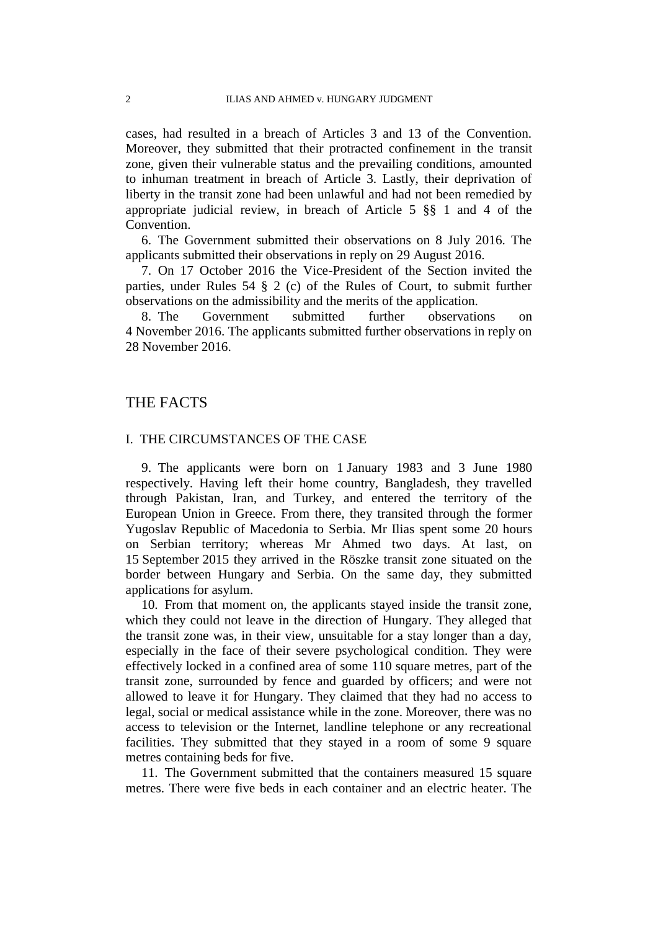cases, had resulted in a breach of Articles 3 and 13 of the Convention. Moreover, they submitted that their protracted confinement in the transit zone, given their vulnerable status and the prevailing conditions, amounted to inhuman treatment in breach of Article 3. Lastly, their deprivation of liberty in the transit zone had been unlawful and had not been remedied by appropriate judicial review, in breach of Article 5 §§ 1 and 4 of the Convention.

6. The Government submitted their observations on 8 July 2016. The applicants submitted their observations in reply on 29 August 2016.

7. On 17 October 2016 the Vice-President of the Section invited the parties, under Rules 54 § 2 (c) of the Rules of Court, to submit further observations on the admissibility and the merits of the application.

8. The Government submitted further observations on 4 November 2016. The applicants submitted further observations in reply on 28 November 2016.

## THE FACTS

### I. THE CIRCUMSTANCES OF THE CASE

9. The applicants were born on 1 January 1983 and 3 June 1980 respectively. Having left their home country, Bangladesh, they travelled through Pakistan, Iran, and Turkey, and entered the territory of the European Union in Greece. From there, they transited through the former Yugoslav Republic of Macedonia to Serbia. Mr Ilias spent some 20 hours on Serbian territory; whereas Mr Ahmed two days. At last, on 15 September 2015 they arrived in the Röszke transit zone situated on the border between Hungary and Serbia. On the same day, they submitted applications for asylum.

10. From that moment on, the applicants stayed inside the transit zone, which they could not leave in the direction of Hungary. They alleged that the transit zone was, in their view, unsuitable for a stay longer than a day, especially in the face of their severe psychological condition. They were effectively locked in a confined area of some 110 square metres, part of the transit zone, surrounded by fence and guarded by officers; and were not allowed to leave it for Hungary. They claimed that they had no access to legal, social or medical assistance while in the zone. Moreover, there was no access to television or the Internet, landline telephone or any recreational facilities. They submitted that they stayed in a room of some 9 square metres containing beds for five.

11. The Government submitted that the containers measured 15 square metres. There were five beds in each container and an electric heater. The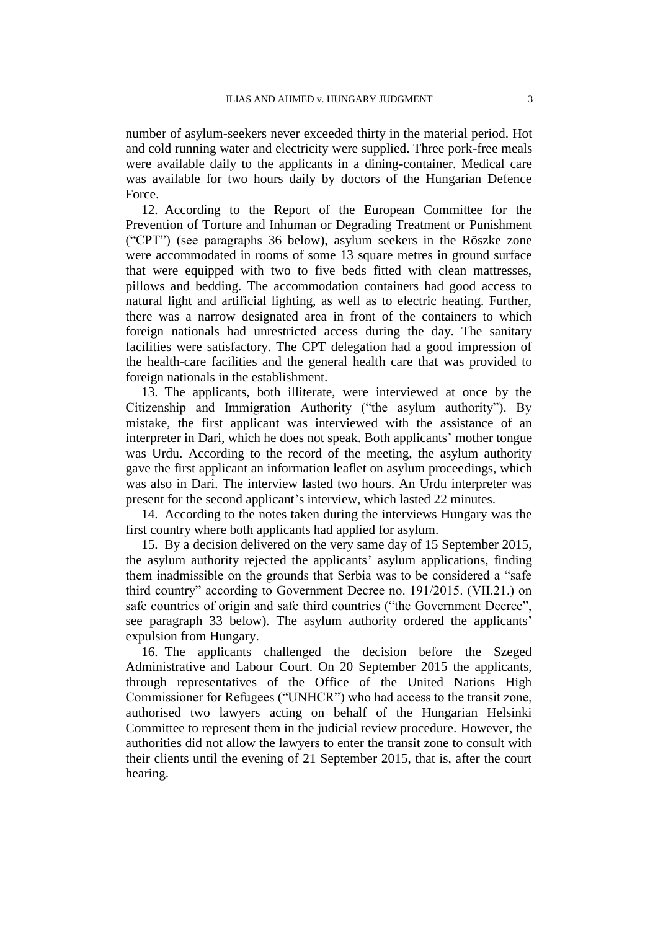number of asylum-seekers never exceeded thirty in the material period. Hot and cold running water and electricity were supplied. Three pork-free meals were available daily to the applicants in a dining-container. Medical care was available for two hours daily by doctors of the Hungarian Defence Force.

12. According to the Report of the European Committee for the Prevention of Torture and Inhuman or Degrading Treatment or Punishment ("CPT") (see paragraphs 36 below), asylum seekers in the Röszke zone were accommodated in rooms of some 13 square metres in ground surface that were equipped with two to five beds fitted with clean mattresses, pillows and bedding. The accommodation containers had good access to natural light and artificial lighting, as well as to electric heating. Further, there was a narrow designated area in front of the containers to which foreign nationals had unrestricted access during the day. The sanitary facilities were satisfactory. The CPT delegation had a good impression of the health-care facilities and the general health care that was provided to foreign nationals in the establishment.

13. The applicants, both illiterate, were interviewed at once by the Citizenship and Immigration Authority ("the asylum authority"). By mistake, the first applicant was interviewed with the assistance of an interpreter in Dari, which he does not speak. Both applicants' mother tongue was Urdu. According to the record of the meeting, the asylum authority gave the first applicant an information leaflet on asylum proceedings, which was also in Dari. The interview lasted two hours. An Urdu interpreter was present for the second applicant's interview, which lasted 22 minutes.

14. According to the notes taken during the interviews Hungary was the first country where both applicants had applied for asylum.

15. By a decision delivered on the very same day of 15 September 2015, the asylum authority rejected the applicants' asylum applications, finding them inadmissible on the grounds that Serbia was to be considered a "safe third country" according to Government Decree no. 191/2015. (VII.21.) on safe countries of origin and safe third countries ("the Government Decree", see paragraph 33 below). The asylum authority ordered the applicants' expulsion from Hungary.

16. The applicants challenged the decision before the Szeged Administrative and Labour Court. On 20 September 2015 the applicants, through representatives of the Office of the United Nations High Commissioner for Refugees ("UNHCR") who had access to the transit zone, authorised two lawyers acting on behalf of the Hungarian Helsinki Committee to represent them in the judicial review procedure. However, the authorities did not allow the lawyers to enter the transit zone to consult with their clients until the evening of 21 September 2015, that is, after the court hearing.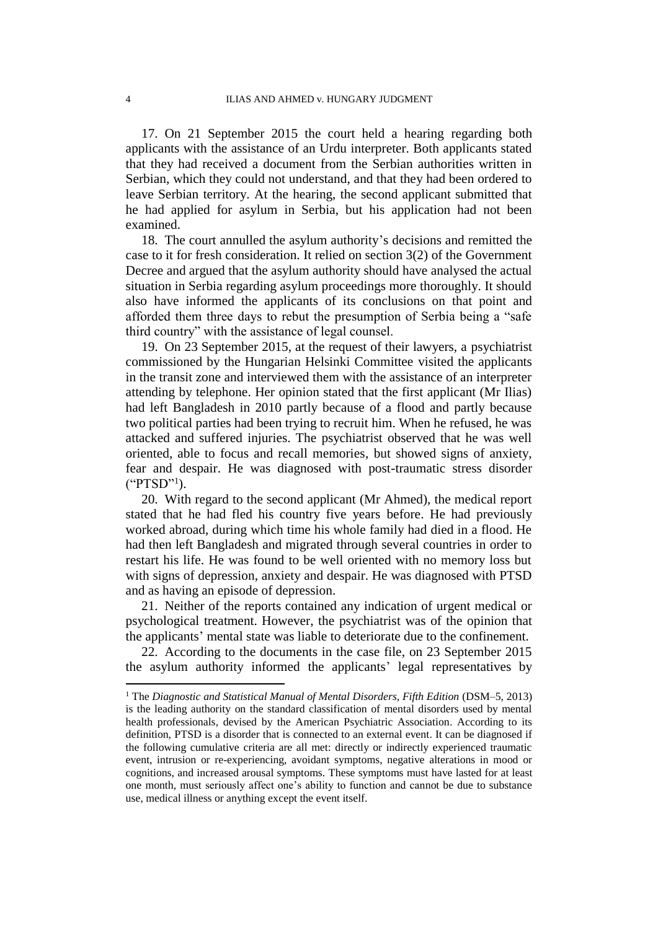17. On 21 September 2015 the court held a hearing regarding both applicants with the assistance of an Urdu interpreter. Both applicants stated that they had received a document from the Serbian authorities written in Serbian, which they could not understand, and that they had been ordered to leave Serbian territory. At the hearing, the second applicant submitted that he had applied for asylum in Serbia, but his application had not been examined.

18. The court annulled the asylum authority's decisions and remitted the case to it for fresh consideration. It relied on section 3(2) of the Government Decree and argued that the asylum authority should have analysed the actual situation in Serbia regarding asylum proceedings more thoroughly. It should also have informed the applicants of its conclusions on that point and afforded them three days to rebut the presumption of Serbia being a "safe third country" with the assistance of legal counsel.

19. On 23 September 2015, at the request of their lawyers, a psychiatrist commissioned by the Hungarian Helsinki Committee visited the applicants in the transit zone and interviewed them with the assistance of an interpreter attending by telephone. Her opinion stated that the first applicant (Mr Ilias) had left Bangladesh in 2010 partly because of a flood and partly because two political parties had been trying to recruit him. When he refused, he was attacked and suffered injuries. The psychiatrist observed that he was well oriented, able to focus and recall memories, but showed signs of anxiety, fear and despair. He was diagnosed with post-traumatic stress disorder ("PTSD"<sup>1</sup>).

20. With regard to the second applicant (Mr Ahmed), the medical report stated that he had fled his country five years before. He had previously worked abroad, during which time his whole family had died in a flood. He had then left Bangladesh and migrated through several countries in order to restart his life. He was found to be well oriented with no memory loss but with signs of depression, anxiety and despair. He was diagnosed with PTSD and as having an episode of depression.

21. Neither of the reports contained any indication of urgent medical or psychological treatment. However, the psychiatrist was of the opinion that the applicants' mental state was liable to deteriorate due to the confinement.

22. According to the documents in the case file, on 23 September 2015 the asylum authority informed the applicants' legal representatives by

 $\overline{a}$ 

<sup>1</sup> The *Diagnostic and Statistical Manual of Mental Disorders, Fifth Edition* (DSM–5, 2013) is the leading authority on the standard classification of mental disorders used by mental health professionals, devised by the American Psychiatric Association. According to its definition, PTSD is a disorder that is connected to an external event. It can be diagnosed if the following cumulative criteria are all met: directly or indirectly experienced traumatic event, intrusion or re-experiencing, avoidant symptoms, negative alterations in mood or cognitions, and increased arousal symptoms. These symptoms must have lasted for at least one month, must seriously affect one's ability to function and cannot be due to substance use, medical illness or anything except the event itself.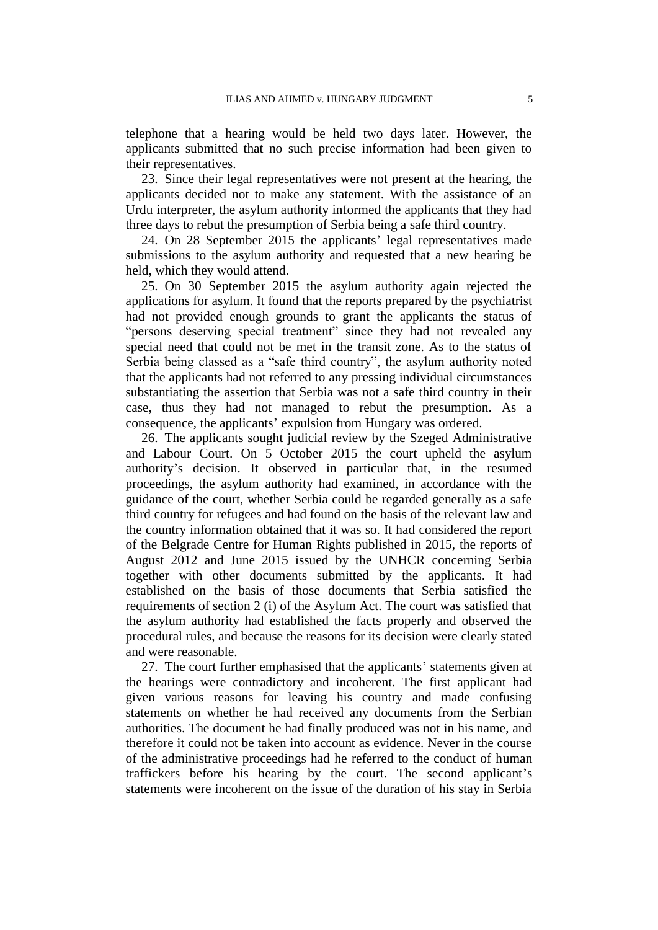telephone that a hearing would be held two days later. However, the applicants submitted that no such precise information had been given to their representatives.

23. Since their legal representatives were not present at the hearing, the applicants decided not to make any statement. With the assistance of an Urdu interpreter, the asylum authority informed the applicants that they had three days to rebut the presumption of Serbia being a safe third country.

24. On 28 September 2015 the applicants' legal representatives made submissions to the asylum authority and requested that a new hearing be held, which they would attend.

25. On 30 September 2015 the asylum authority again rejected the applications for asylum. It found that the reports prepared by the psychiatrist had not provided enough grounds to grant the applicants the status of "persons deserving special treatment" since they had not revealed any special need that could not be met in the transit zone. As to the status of Serbia being classed as a "safe third country", the asylum authority noted that the applicants had not referred to any pressing individual circumstances substantiating the assertion that Serbia was not a safe third country in their case, thus they had not managed to rebut the presumption. As a consequence, the applicants' expulsion from Hungary was ordered.

26. The applicants sought judicial review by the Szeged Administrative and Labour Court. On 5 October 2015 the court upheld the asylum authority's decision. It observed in particular that, in the resumed proceedings, the asylum authority had examined, in accordance with the guidance of the court, whether Serbia could be regarded generally as a safe third country for refugees and had found on the basis of the relevant law and the country information obtained that it was so. It had considered the report of the Belgrade Centre for Human Rights published in 2015, the reports of August 2012 and June 2015 issued by the UNHCR concerning Serbia together with other documents submitted by the applicants. It had established on the basis of those documents that Serbia satisfied the requirements of section 2 (i) of the Asylum Act. The court was satisfied that the asylum authority had established the facts properly and observed the procedural rules, and because the reasons for its decision were clearly stated and were reasonable.

27. The court further emphasised that the applicants' statements given at the hearings were contradictory and incoherent. The first applicant had given various reasons for leaving his country and made confusing statements on whether he had received any documents from the Serbian authorities. The document he had finally produced was not in his name, and therefore it could not be taken into account as evidence. Never in the course of the administrative proceedings had he referred to the conduct of human traffickers before his hearing by the court. The second applicant's statements were incoherent on the issue of the duration of his stay in Serbia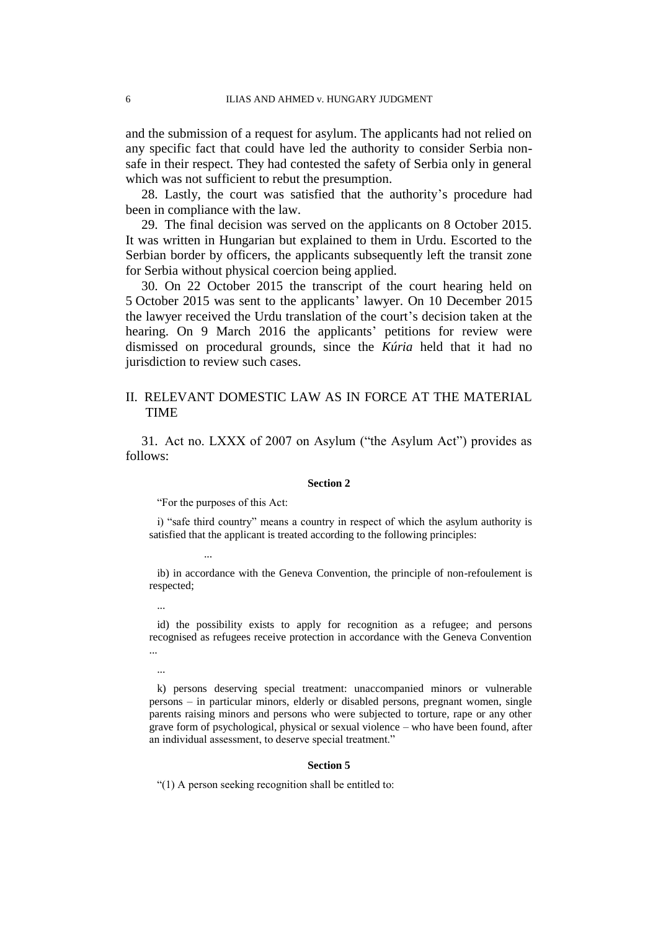and the submission of a request for asylum. The applicants had not relied on any specific fact that could have led the authority to consider Serbia nonsafe in their respect. They had contested the safety of Serbia only in general which was not sufficient to rebut the presumption.

28. Lastly, the court was satisfied that the authority's procedure had been in compliance with the law.

29. The final decision was served on the applicants on 8 October 2015. It was written in Hungarian but explained to them in Urdu. Escorted to the Serbian border by officers, the applicants subsequently left the transit zone for Serbia without physical coercion being applied.

30. On 22 October 2015 the transcript of the court hearing held on 5 October 2015 was sent to the applicants' lawyer. On 10 December 2015 the lawyer received the Urdu translation of the court's decision taken at the hearing. On 9 March 2016 the applicants' petitions for review were dismissed on procedural grounds, since the *Kúria* held that it had no jurisdiction to review such cases.

## II. RELEVANT DOMESTIC LAW AS IN FORCE AT THE MATERIAL TIME

31. Act no. LXXX of 2007 on Asylum ("the Asylum Act") provides as follows:

#### **Section 2**

"For the purposes of this Act:

...

i) "safe third country" means a country in respect of which the asylum authority is satisfied that the applicant is treated according to the following principles:

ib) in accordance with the Geneva Convention, the principle of non-refoulement is respected;

id) the possibility exists to apply for recognition as a refugee; and persons recognised as refugees receive protection in accordance with the Geneva Convention ...

...

...

k) persons deserving special treatment: unaccompanied minors or vulnerable persons – in particular minors, elderly or disabled persons, pregnant women, single parents raising minors and persons who were subjected to torture, rape or any other grave form of psychological, physical or sexual violence – who have been found, after an individual assessment, to deserve special treatment."

#### **Section 5**

"(1) A person seeking recognition shall be entitled to: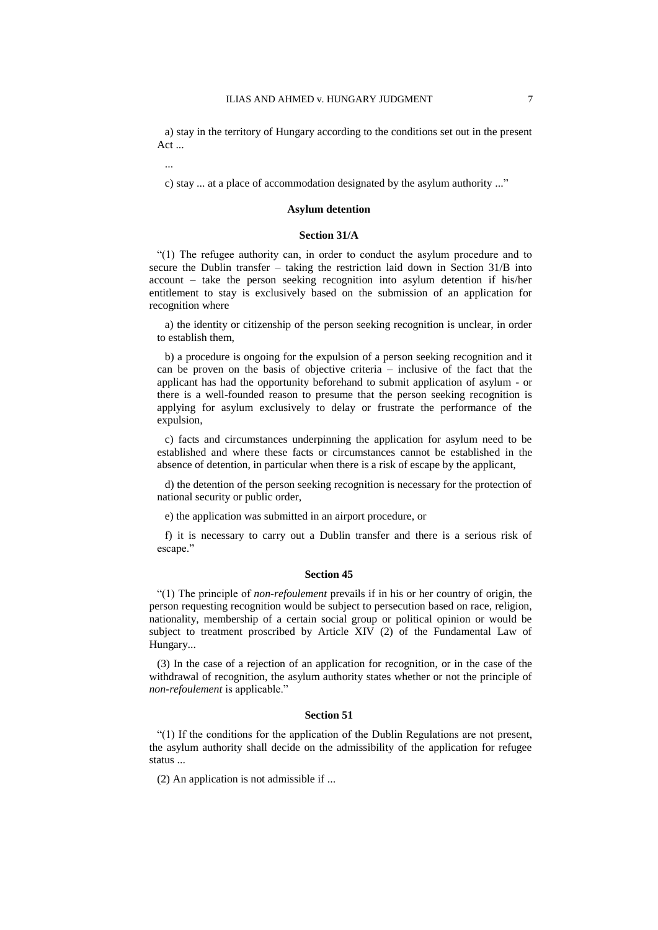a) stay in the territory of Hungary according to the conditions set out in the present Act ...

c) stay ... at a place of accommodation designated by the asylum authority ..."

#### **Asylum detention**

...

#### **Section 31/A**

"(1) The refugee authority can, in order to conduct the asylum procedure and to secure the Dublin transfer – taking the restriction laid down in Section 31/B into account – take the person seeking recognition into asylum detention if his/her entitlement to stay is exclusively based on the submission of an application for recognition where

a) the identity or citizenship of the person seeking recognition is unclear, in order to establish them,

b) a procedure is ongoing for the expulsion of a person seeking recognition and it can be proven on the basis of objective criteria – inclusive of the fact that the applicant has had the opportunity beforehand to submit application of asylum - or there is a well-founded reason to presume that the person seeking recognition is applying for asylum exclusively to delay or frustrate the performance of the expulsion,

c) facts and circumstances underpinning the application for asylum need to be established and where these facts or circumstances cannot be established in the absence of detention, in particular when there is a risk of escape by the applicant,

d) the detention of the person seeking recognition is necessary for the protection of national security or public order,

e) the application was submitted in an airport procedure, or

f) it is necessary to carry out a Dublin transfer and there is a serious risk of escape."

#### **Section 45**

"(1) The principle of *non-refoulement* prevails if in his or her country of origin, the person requesting recognition would be subject to persecution based on race, religion, nationality, membership of a certain social group or political opinion or would be subject to treatment proscribed by Article XIV (2) of the Fundamental Law of Hungary...

(3) In the case of a rejection of an application for recognition, or in the case of the withdrawal of recognition, the asylum authority states whether or not the principle of *non-refoulement* is applicable."

#### **Section 51**

"(1) If the conditions for the application of the Dublin Regulations are not present, the asylum authority shall decide on the admissibility of the application for refugee status ...

(2) An application is not admissible if ...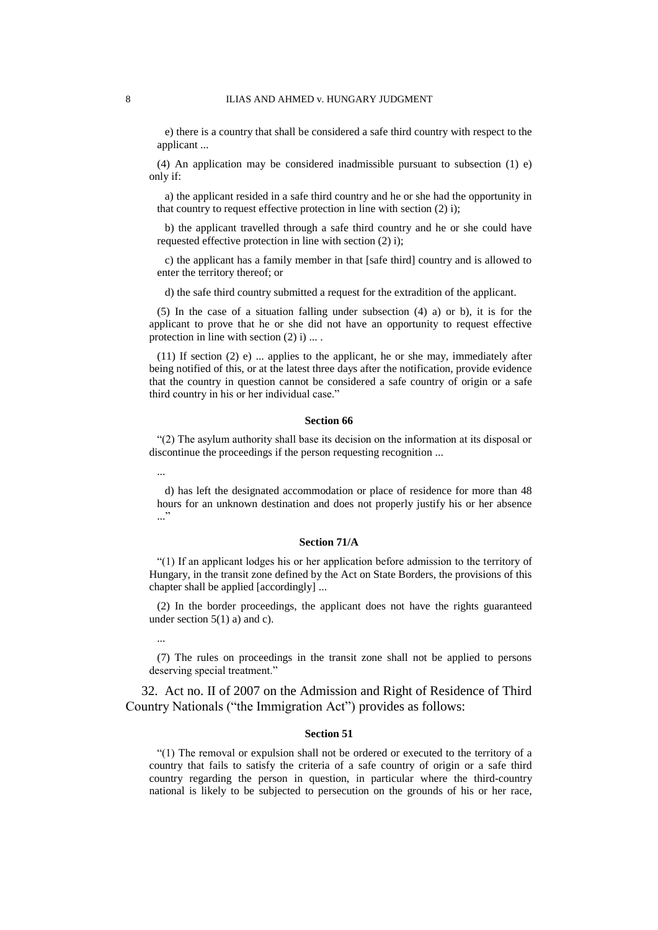e) there is a country that shall be considered a safe third country with respect to the applicant ...

(4) An application may be considered inadmissible pursuant to subsection (1) e) only if:

a) the applicant resided in a safe third country and he or she had the opportunity in that country to request effective protection in line with section (2) i);

b) the applicant travelled through a safe third country and he or she could have requested effective protection in line with section (2) i);

c) the applicant has a family member in that [safe third] country and is allowed to enter the territory thereof; or

d) the safe third country submitted a request for the extradition of the applicant.

(5) In the case of a situation falling under subsection (4) a) or b), it is for the applicant to prove that he or she did not have an opportunity to request effective protection in line with section (2) i) ... .

(11) If section (2) e) ... applies to the applicant, he or she may, immediately after being notified of this, or at the latest three days after the notification, provide evidence that the country in question cannot be considered a safe country of origin or a safe third country in his or her individual case."

#### **Section 66**

"(2) The asylum authority shall base its decision on the information at its disposal or discontinue the proceedings if the person requesting recognition ...

d) has left the designated accommodation or place of residence for more than 48 hours for an unknown destination and does not properly justify his or her absence ..."

#### **Section 71/A**

"(1) If an applicant lodges his or her application before admission to the territory of Hungary, in the transit zone defined by the Act on State Borders, the provisions of this chapter shall be applied [accordingly] ...

(2) In the border proceedings, the applicant does not have the rights guaranteed under section  $5(1)$  a) and c).

...

...

(7) The rules on proceedings in the transit zone shall not be applied to persons deserving special treatment."

32. Act no. II of 2007 on the Admission and Right of Residence of Third Country Nationals ("the Immigration Act") provides as follows:

#### **Section 51**

"(1) The removal or expulsion shall not be ordered or executed to the territory of a country that fails to satisfy the criteria of a safe country of origin or a safe third country regarding the person in question, in particular where the third-country national is likely to be subjected to persecution on the grounds of his or her race,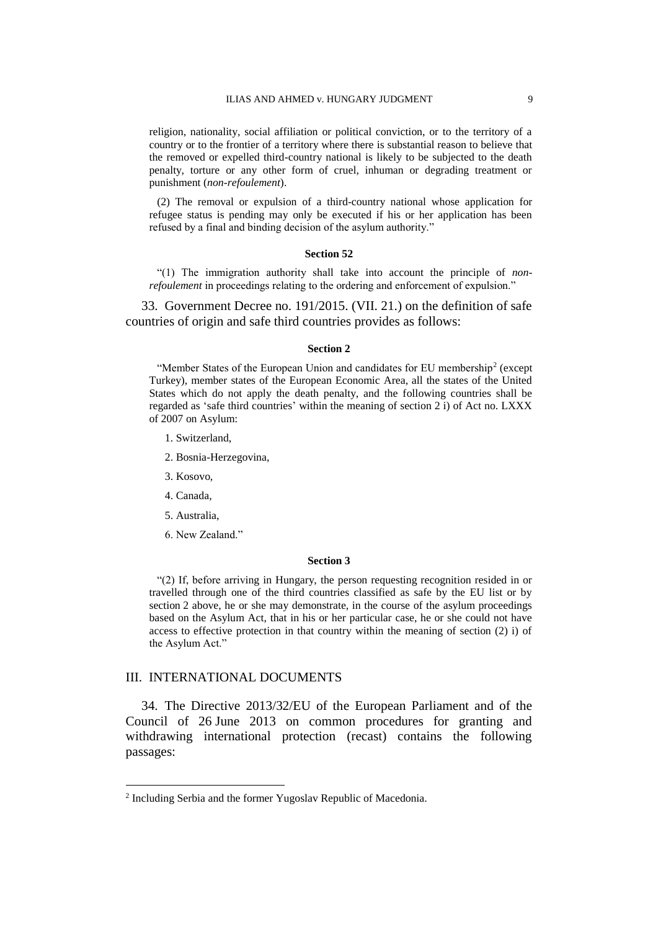religion, nationality, social affiliation or political conviction, or to the territory of a country or to the frontier of a territory where there is substantial reason to believe that the removed or expelled third-country national is likely to be subjected to the death penalty, torture or any other form of cruel, inhuman or degrading treatment or punishment (*non-refoulement*).

(2) The removal or expulsion of a third-country national whose application for refugee status is pending may only be executed if his or her application has been refused by a final and binding decision of the asylum authority."

#### **Section 52**

"(1) The immigration authority shall take into account the principle of *nonrefoulement* in proceedings relating to the ordering and enforcement of expulsion."

33. Government Decree no. 191/2015. (VII. 21.) on the definition of safe countries of origin and safe third countries provides as follows:

#### **Section 2**

"Member States of the European Union and candidates for EU membership<sup>2</sup> (except Turkey), member states of the European Economic Area, all the states of the United States which do not apply the death penalty, and the following countries shall be regarded as 'safe third countries' within the meaning of section 2 i) of Act no. LXXX of 2007 on Asylum:

- 1. Switzerland,
- 2. Bosnia-Herzegovina,
- 3. Kosovo,
- 4. Canada,

 $\overline{a}$ 

- 5. Australia,
- 6. New Zealand."

#### **Section 3**

"(2) If, before arriving in Hungary, the person requesting recognition resided in or travelled through one of the third countries classified as safe by the EU list or by section 2 above, he or she may demonstrate, in the course of the asylum proceedings based on the Asylum Act, that in his or her particular case, he or she could not have access to effective protection in that country within the meaning of section (2) i) of the Asylum Act."

### III. INTERNATIONAL DOCUMENTS

34. The Directive 2013/32/EU of the European Parliament and of the Council of 26 June 2013 on common procedures for granting and withdrawing international protection (recast) contains the following passages:

<sup>2</sup> Including Serbia and the former Yugoslav Republic of Macedonia.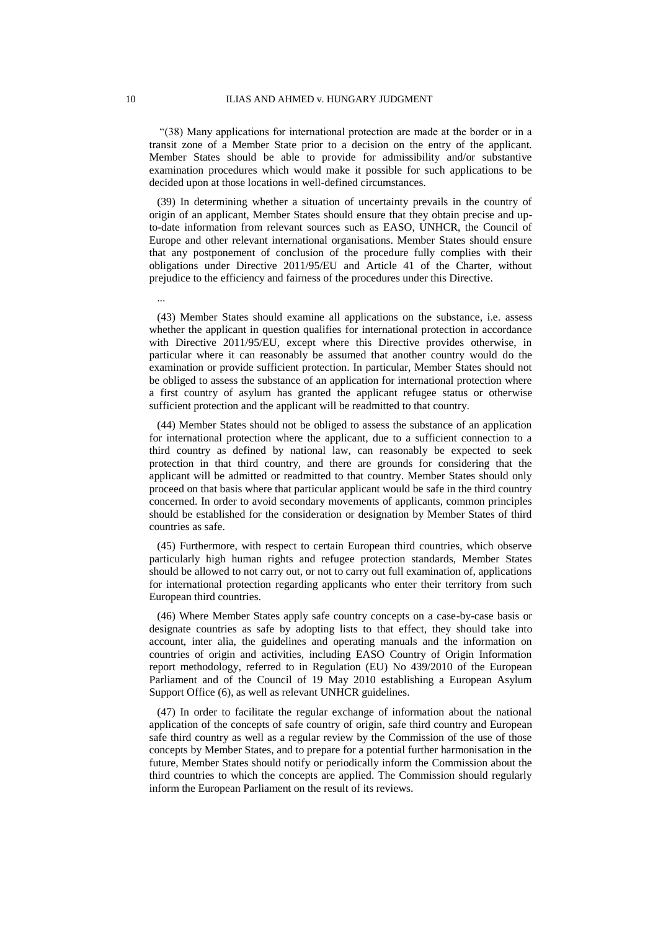"(38) Many applications for international protection are made at the border or in a transit zone of a Member State prior to a decision on the entry of the applicant. Member States should be able to provide for admissibility and/or substantive examination procedures which would make it possible for such applications to be decided upon at those locations in well-defined circumstances.

(39) In determining whether a situation of uncertainty prevails in the country of origin of an applicant, Member States should ensure that they obtain precise and upto-date information from relevant sources such as EASO, UNHCR, the Council of Europe and other relevant international organisations. Member States should ensure that any postponement of conclusion of the procedure fully complies with their obligations under Directive 2011/95/EU and Article 41 of the Charter, without prejudice to the efficiency and fairness of the procedures under this Directive.

(43) Member States should examine all applications on the substance, i.e. assess whether the applicant in question qualifies for international protection in accordance with Directive 2011/95/EU, except where this Directive provides otherwise, in particular where it can reasonably be assumed that another country would do the examination or provide sufficient protection. In particular, Member States should not be obliged to assess the substance of an application for international protection where a first country of asylum has granted the applicant refugee status or otherwise sufficient protection and the applicant will be readmitted to that country.

(44) Member States should not be obliged to assess the substance of an application for international protection where the applicant, due to a sufficient connection to a third country as defined by national law, can reasonably be expected to seek protection in that third country, and there are grounds for considering that the applicant will be admitted or readmitted to that country. Member States should only proceed on that basis where that particular applicant would be safe in the third country concerned. In order to avoid secondary movements of applicants, common principles should be established for the consideration or designation by Member States of third countries as safe.

(45) Furthermore, with respect to certain European third countries, which observe particularly high human rights and refugee protection standards, Member States should be allowed to not carry out, or not to carry out full examination of, applications for international protection regarding applicants who enter their territory from such European third countries.

(46) Where Member States apply safe country concepts on a case-by-case basis or designate countries as safe by adopting lists to that effect, they should take into account, inter alia, the guidelines and operating manuals and the information on countries of origin and activities, including EASO Country of Origin Information report methodology, referred to in Regulation (EU) No 439/2010 of the European Parliament and of the Council of 19 May 2010 establishing a European Asylum Support Office (6), as well as relevant UNHCR guidelines.

(47) In order to facilitate the regular exchange of information about the national application of the concepts of safe country of origin, safe third country and European safe third country as well as a regular review by the Commission of the use of those concepts by Member States, and to prepare for a potential further harmonisation in the future, Member States should notify or periodically inform the Commission about the third countries to which the concepts are applied. The Commission should regularly inform the European Parliament on the result of its reviews.

...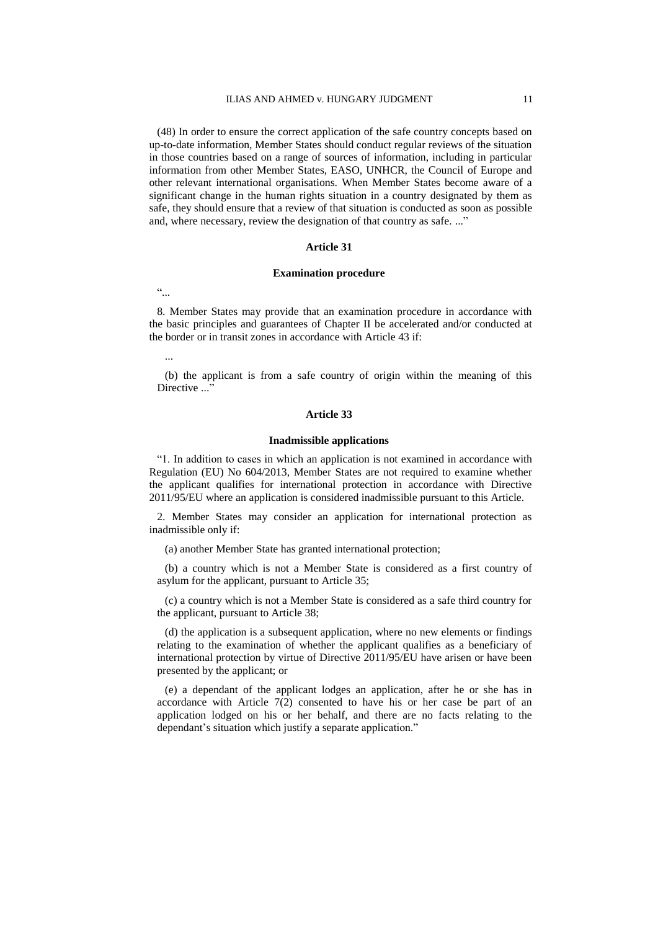(48) In order to ensure the correct application of the safe country concepts based on up-to-date information, Member States should conduct regular reviews of the situation in those countries based on a range of sources of information, including in particular information from other Member States, EASO, UNHCR, the Council of Europe and other relevant international organisations. When Member States become aware of a significant change in the human rights situation in a country designated by them as safe, they should ensure that a review of that situation is conducted as soon as possible and, where necessary, review the designation of that country as safe. ..."

#### **Article 31**

#### **Examination procedure**

 $\ddot{\cdot}$  ...

8. Member States may provide that an examination procedure in accordance with the basic principles and guarantees of Chapter II be accelerated and/or conducted at the border or in transit zones in accordance with Article 43 if:

...

(b) the applicant is from a safe country of origin within the meaning of this Directive ..."

#### **Article 33**

#### **Inadmissible applications**

"1. In addition to cases in which an application is not examined in accordance with Regulation (EU) No 604/2013, Member States are not required to examine whether the applicant qualifies for international protection in accordance with Directive 2011/95/EU where an application is considered inadmissible pursuant to this Article.

2. Member States may consider an application for international protection as inadmissible only if:

(a) another Member State has granted international protection;

(b) a country which is not a Member State is considered as a first country of asylum for the applicant, pursuant to Article 35;

(c) a country which is not a Member State is considered as a safe third country for the applicant, pursuant to Article 38;

(d) the application is a subsequent application, where no new elements or findings relating to the examination of whether the applicant qualifies as a beneficiary of international protection by virtue of Directive 2011/95/EU have arisen or have been presented by the applicant; or

(e) a dependant of the applicant lodges an application, after he or she has in accordance with Article 7(2) consented to have his or her case be part of an application lodged on his or her behalf, and there are no facts relating to the dependant's situation which justify a separate application."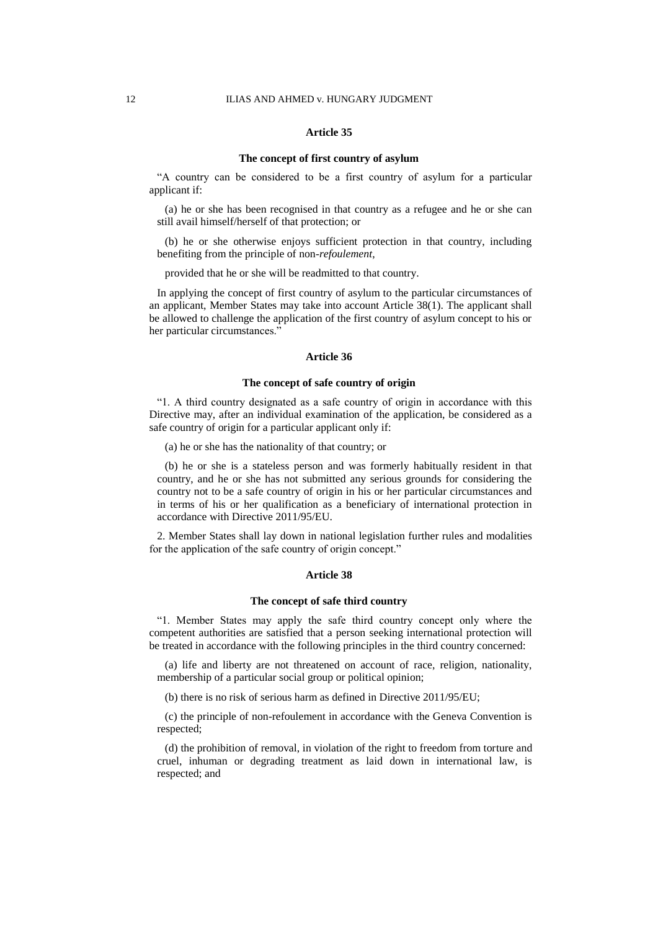#### **Article 35**

#### **The concept of first country of asylum**

"A country can be considered to be a first country of asylum for a particular applicant if:

(a) he or she has been recognised in that country as a refugee and he or she can still avail himself/herself of that protection; or

(b) he or she otherwise enjoys sufficient protection in that country, including benefiting from the principle of non-*refoulement*,

provided that he or she will be readmitted to that country.

In applying the concept of first country of asylum to the particular circumstances of an applicant, Member States may take into account Article 38(1). The applicant shall be allowed to challenge the application of the first country of asylum concept to his or her particular circumstances."

#### **Article 36**

#### **The concept of safe country of origin**

"1. A third country designated as a safe country of origin in accordance with this Directive may, after an individual examination of the application, be considered as a safe country of origin for a particular applicant only if:

(a) he or she has the nationality of that country; or

(b) he or she is a stateless person and was formerly habitually resident in that country, and he or she has not submitted any serious grounds for considering the country not to be a safe country of origin in his or her particular circumstances and in terms of his or her qualification as a beneficiary of international protection in accordance with Directive 2011/95/EU.

2. Member States shall lay down in national legislation further rules and modalities for the application of the safe country of origin concept."

#### **Article 38**

#### **The concept of safe third country**

"1. Member States may apply the safe third country concept only where the competent authorities are satisfied that a person seeking international protection will be treated in accordance with the following principles in the third country concerned:

(a) life and liberty are not threatened on account of race, religion, nationality, membership of a particular social group or political opinion;

(b) there is no risk of serious harm as defined in Directive 2011/95/EU;

(c) the principle of non-refoulement in accordance with the Geneva Convention is respected;

(d) the prohibition of removal, in violation of the right to freedom from torture and cruel, inhuman or degrading treatment as laid down in international law, is respected; and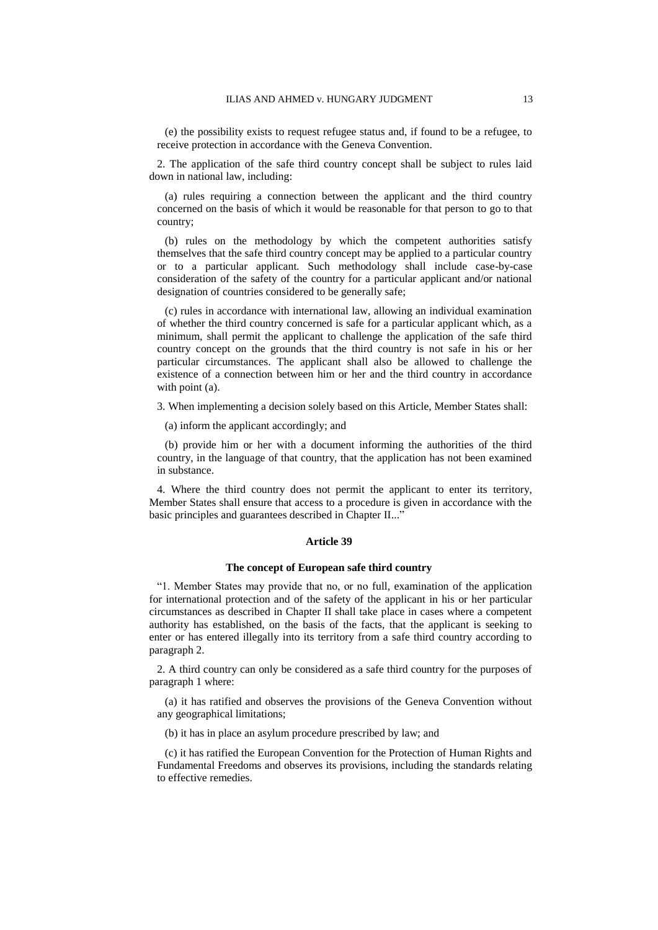(e) the possibility exists to request refugee status and, if found to be a refugee, to receive protection in accordance with the Geneva Convention.

2. The application of the safe third country concept shall be subject to rules laid down in national law, including:

(a) rules requiring a connection between the applicant and the third country concerned on the basis of which it would be reasonable for that person to go to that country;

(b) rules on the methodology by which the competent authorities satisfy themselves that the safe third country concept may be applied to a particular country or to a particular applicant. Such methodology shall include case-by-case consideration of the safety of the country for a particular applicant and/or national designation of countries considered to be generally safe;

(c) rules in accordance with international law, allowing an individual examination of whether the third country concerned is safe for a particular applicant which, as a minimum, shall permit the applicant to challenge the application of the safe third country concept on the grounds that the third country is not safe in his or her particular circumstances. The applicant shall also be allowed to challenge the existence of a connection between him or her and the third country in accordance with point (a).

3. When implementing a decision solely based on this Article, Member States shall:

(a) inform the applicant accordingly; and

(b) provide him or her with a document informing the authorities of the third country, in the language of that country, that the application has not been examined in substance.

4. Where the third country does not permit the applicant to enter its territory, Member States shall ensure that access to a procedure is given in accordance with the basic principles and guarantees described in Chapter II..."

#### **Article 39**

#### **The concept of European safe third country**

"1. Member States may provide that no, or no full, examination of the application for international protection and of the safety of the applicant in his or her particular circumstances as described in Chapter II shall take place in cases where a competent authority has established, on the basis of the facts, that the applicant is seeking to enter or has entered illegally into its territory from a safe third country according to paragraph 2.

2. A third country can only be considered as a safe third country for the purposes of paragraph 1 where:

(a) it has ratified and observes the provisions of the Geneva Convention without any geographical limitations;

(b) it has in place an asylum procedure prescribed by law; and

(c) it has ratified the European Convention for the Protection of Human Rights and Fundamental Freedoms and observes its provisions, including the standards relating to effective remedies.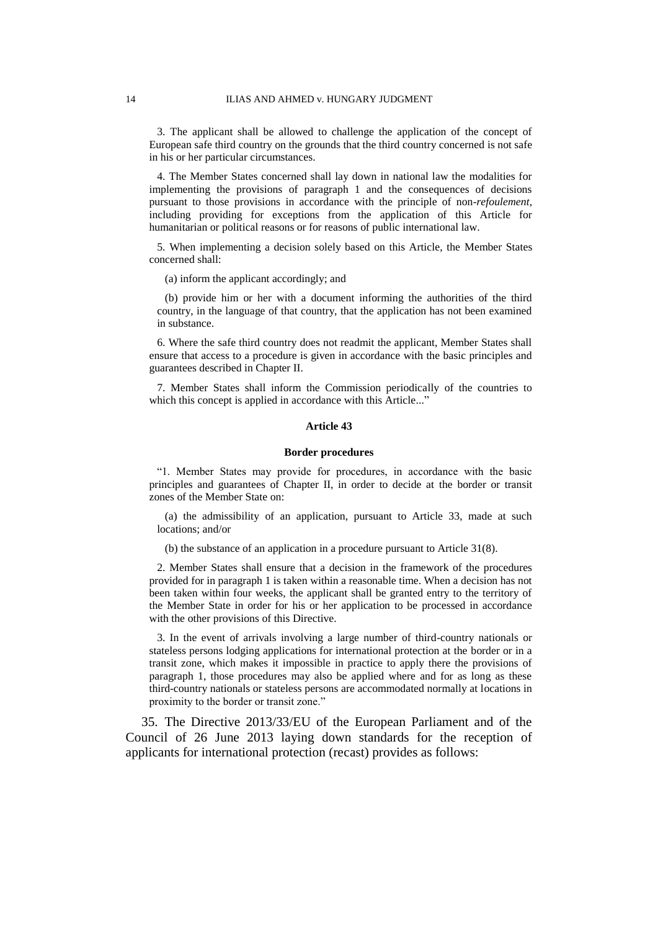3. The applicant shall be allowed to challenge the application of the concept of European safe third country on the grounds that the third country concerned is not safe in his or her particular circumstances.

4. The Member States concerned shall lay down in national law the modalities for implementing the provisions of paragraph 1 and the consequences of decisions pursuant to those provisions in accordance with the principle of non-*refoulement*, including providing for exceptions from the application of this Article for humanitarian or political reasons or for reasons of public international law.

5. When implementing a decision solely based on this Article, the Member States concerned shall:

(a) inform the applicant accordingly; and

(b) provide him or her with a document informing the authorities of the third country, in the language of that country, that the application has not been examined in substance.

6. Where the safe third country does not readmit the applicant, Member States shall ensure that access to a procedure is given in accordance with the basic principles and guarantees described in Chapter II.

7. Member States shall inform the Commission periodically of the countries to which this concept is applied in accordance with this Article..."

#### **Article 43**

#### **Border procedures**

"1. Member States may provide for procedures, in accordance with the basic principles and guarantees of Chapter II, in order to decide at the border or transit zones of the Member State on:

(a) the admissibility of an application, pursuant to Article 33, made at such locations; and/or

(b) the substance of an application in a procedure pursuant to Article 31(8).

2. Member States shall ensure that a decision in the framework of the procedures provided for in paragraph 1 is taken within a reasonable time. When a decision has not been taken within four weeks, the applicant shall be granted entry to the territory of the Member State in order for his or her application to be processed in accordance with the other provisions of this Directive.

3. In the event of arrivals involving a large number of third-country nationals or stateless persons lodging applications for international protection at the border or in a transit zone, which makes it impossible in practice to apply there the provisions of paragraph 1, those procedures may also be applied where and for as long as these third-country nationals or stateless persons are accommodated normally at locations in proximity to the border or transit zone."

35. The Directive 2013/33/EU of the European Parliament and of the Council of 26 June 2013 laying down standards for the reception of applicants for international protection (recast) provides as follows: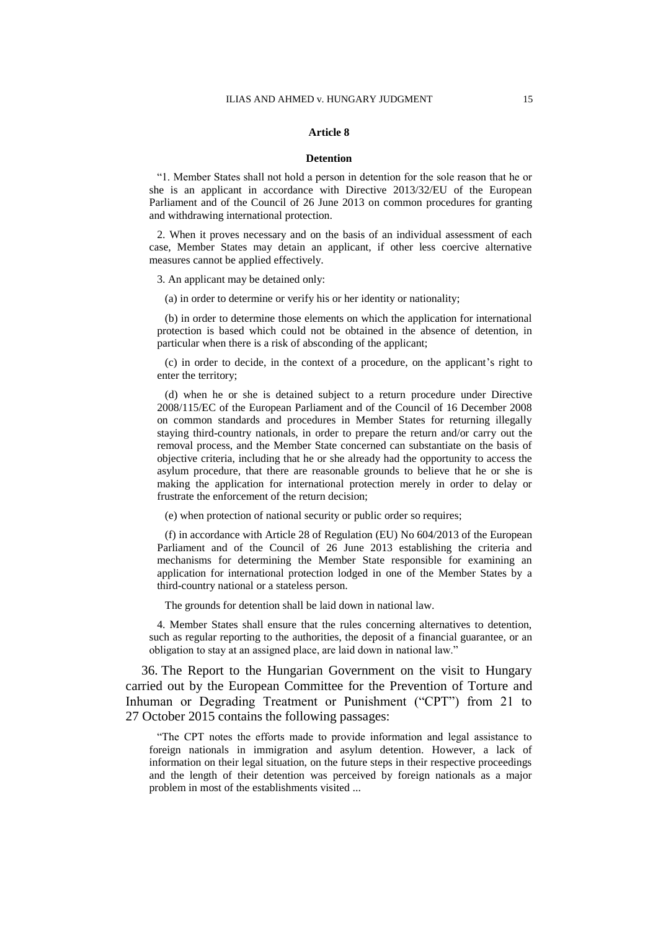#### **Article 8**

#### **Detention**

"1. Member States shall not hold a person in detention for the sole reason that he or she is an applicant in accordance with Directive 2013/32/EU of the European Parliament and of the Council of 26 June 2013 on common procedures for granting and withdrawing international protection.

2. When it proves necessary and on the basis of an individual assessment of each case, Member States may detain an applicant, if other less coercive alternative measures cannot be applied effectively.

3. An applicant may be detained only:

(a) in order to determine or verify his or her identity or nationality;

(b) in order to determine those elements on which the application for international protection is based which could not be obtained in the absence of detention, in particular when there is a risk of absconding of the applicant;

(c) in order to decide, in the context of a procedure, on the applicant's right to enter the territory;

(d) when he or she is detained subject to a return procedure under Directive 2008/115/EC of the European Parliament and of the Council of 16 December 2008 on common standards and procedures in Member States for returning illegally staying third-country nationals, in order to prepare the return and/or carry out the removal process, and the Member State concerned can substantiate on the basis of objective criteria, including that he or she already had the opportunity to access the asylum procedure, that there are reasonable grounds to believe that he or she is making the application for international protection merely in order to delay or frustrate the enforcement of the return decision;

(e) when protection of national security or public order so requires;

(f) in accordance with Article 28 of Regulation (EU) No 604/2013 of the European Parliament and of the Council of 26 June 2013 establishing the criteria and mechanisms for determining the Member State responsible for examining an application for international protection lodged in one of the Member States by a third-country national or a stateless person.

The grounds for detention shall be laid down in national law.

4. Member States shall ensure that the rules concerning alternatives to detention, such as regular reporting to the authorities, the deposit of a financial guarantee, or an obligation to stay at an assigned place, are laid down in national law."

36. The Report to the Hungarian Government on the visit to Hungary carried out by the European Committee for the Prevention of Torture and Inhuman or Degrading Treatment or Punishment ("CPT") from 21 to 27 October 2015 contains the following passages:

"The CPT notes the efforts made to provide information and legal assistance to foreign nationals in immigration and asylum detention. However, a lack of information on their legal situation, on the future steps in their respective proceedings and the length of their detention was perceived by foreign nationals as a major problem in most of the establishments visited ...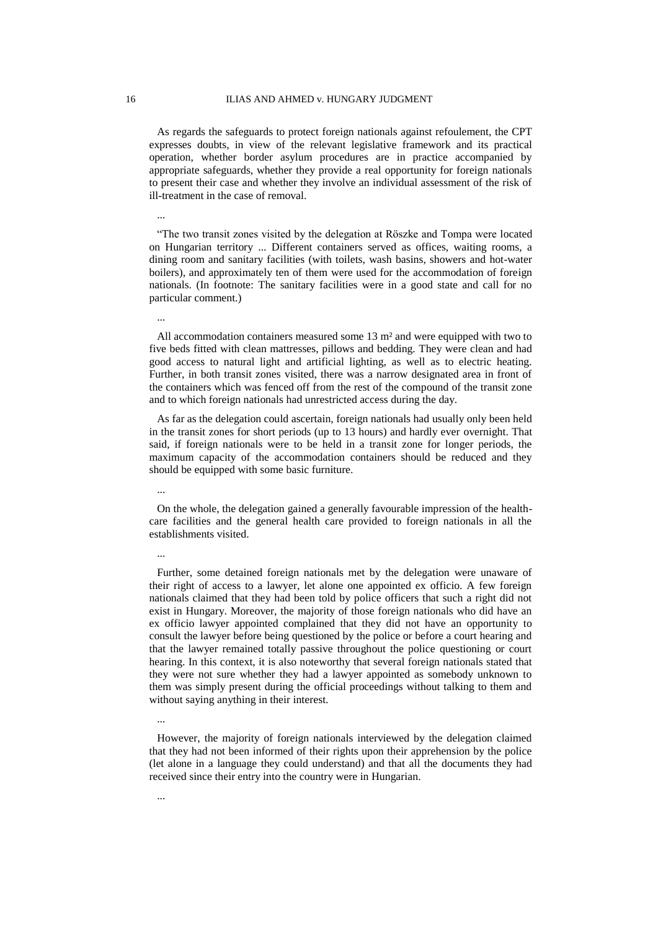As regards the safeguards to protect foreign nationals against refoulement, the CPT expresses doubts, in view of the relevant legislative framework and its practical operation, whether border asylum procedures are in practice accompanied by appropriate safeguards, whether they provide a real opportunity for foreign nationals to present their case and whether they involve an individual assessment of the risk of ill-treatment in the case of removal.

...

"The two transit zones visited by the delegation at Röszke and Tompa were located on Hungarian territory ... Different containers served as offices, waiting rooms, a dining room and sanitary facilities (with toilets, wash basins, showers and hot-water boilers), and approximately ten of them were used for the accommodation of foreign nationals. (In footnote: The sanitary facilities were in a good state and call for no particular comment.)

...

...

...

...

...

All accommodation containers measured some 13 m² and were equipped with two to five beds fitted with clean mattresses, pillows and bedding. They were clean and had good access to natural light and artificial lighting, as well as to electric heating. Further, in both transit zones visited, there was a narrow designated area in front of the containers which was fenced off from the rest of the compound of the transit zone and to which foreign nationals had unrestricted access during the day.

As far as the delegation could ascertain, foreign nationals had usually only been held in the transit zones for short periods (up to 13 hours) and hardly ever overnight. That said, if foreign nationals were to be held in a transit zone for longer periods, the maximum capacity of the accommodation containers should be reduced and they should be equipped with some basic furniture.

On the whole, the delegation gained a generally favourable impression of the healthcare facilities and the general health care provided to foreign nationals in all the establishments visited.

Further, some detained foreign nationals met by the delegation were unaware of their right of access to a lawyer, let alone one appointed ex officio. A few foreign nationals claimed that they had been told by police officers that such a right did not exist in Hungary. Moreover, the majority of those foreign nationals who did have an ex officio lawyer appointed complained that they did not have an opportunity to consult the lawyer before being questioned by the police or before a court hearing and that the lawyer remained totally passive throughout the police questioning or court hearing. In this context, it is also noteworthy that several foreign nationals stated that they were not sure whether they had a lawyer appointed as somebody unknown to them was simply present during the official proceedings without talking to them and without saying anything in their interest.

However, the majority of foreign nationals interviewed by the delegation claimed that they had not been informed of their rights upon their apprehension by the police (let alone in a language they could understand) and that all the documents they had received since their entry into the country were in Hungarian.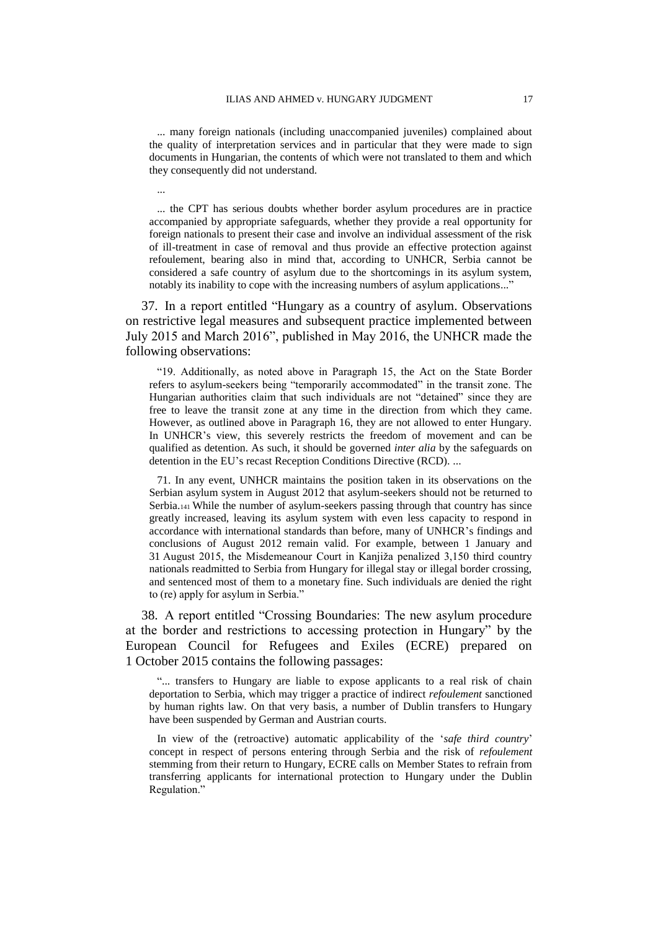...

... many foreign nationals (including unaccompanied juveniles) complained about the quality of interpretation services and in particular that they were made to sign documents in Hungarian, the contents of which were not translated to them and which they consequently did not understand.

... the CPT has serious doubts whether border asylum procedures are in practice accompanied by appropriate safeguards, whether they provide a real opportunity for foreign nationals to present their case and involve an individual assessment of the risk of ill-treatment in case of removal and thus provide an effective protection against refoulement, bearing also in mind that, according to UNHCR, Serbia cannot be considered a safe country of asylum due to the shortcomings in its asylum system, notably its inability to cope with the increasing numbers of asylum applications..."

37. In a report entitled "Hungary as a country of asylum. Observations on restrictive legal measures and subsequent practice implemented between July 2015 and March 2016", published in May 2016, the UNHCR made the following observations:

"19. Additionally, as noted above in Paragraph 15, the Act on the State Border refers to asylum-seekers being "temporarily accommodated" in the transit zone. The Hungarian authorities claim that such individuals are not "detained" since they are free to leave the transit zone at any time in the direction from which they came. However, as outlined above in Paragraph 16, they are not allowed to enter Hungary. In UNHCR's view, this severely restricts the freedom of movement and can be qualified as detention. As such, it should be governed *inter alia* by the safeguards on detention in the EU's recast Reception Conditions Directive (RCD). ...

71. In any event, UNHCR maintains the position taken in its observations on the Serbian asylum system in August 2012 that asylum-seekers should not be returned to Serbia.<sup>141</sup> While the number of asylum-seekers passing through that country has since greatly increased, leaving its asylum system with even less capacity to respond in accordance with international standards than before, many of UNHCR's findings and conclusions of August 2012 remain valid. For example, between 1 January and 31 August 2015, the Misdemeanour Court in Kanjiža penalized 3,150 third country nationals readmitted to Serbia from Hungary for illegal stay or illegal border crossing, and sentenced most of them to a monetary fine. Such individuals are denied the right to (re) apply for asylum in Serbia."

38. A report entitled "Crossing Boundaries: The new asylum procedure at the border and restrictions to accessing protection in Hungary" by the European Council for Refugees and Exiles (ECRE) prepared on 1 October 2015 contains the following passages:

"... transfers to Hungary are liable to expose applicants to a real risk of chain deportation to Serbia, which may trigger a practice of indirect *refoulement* sanctioned by human rights law. On that very basis, a number of Dublin transfers to Hungary have been suspended by German and Austrian courts.

In view of the (retroactive) automatic applicability of the '*safe third country*' concept in respect of persons entering through Serbia and the risk of *refoulement* stemming from their return to Hungary, ECRE calls on Member States to refrain from transferring applicants for international protection to Hungary under the Dublin Regulation."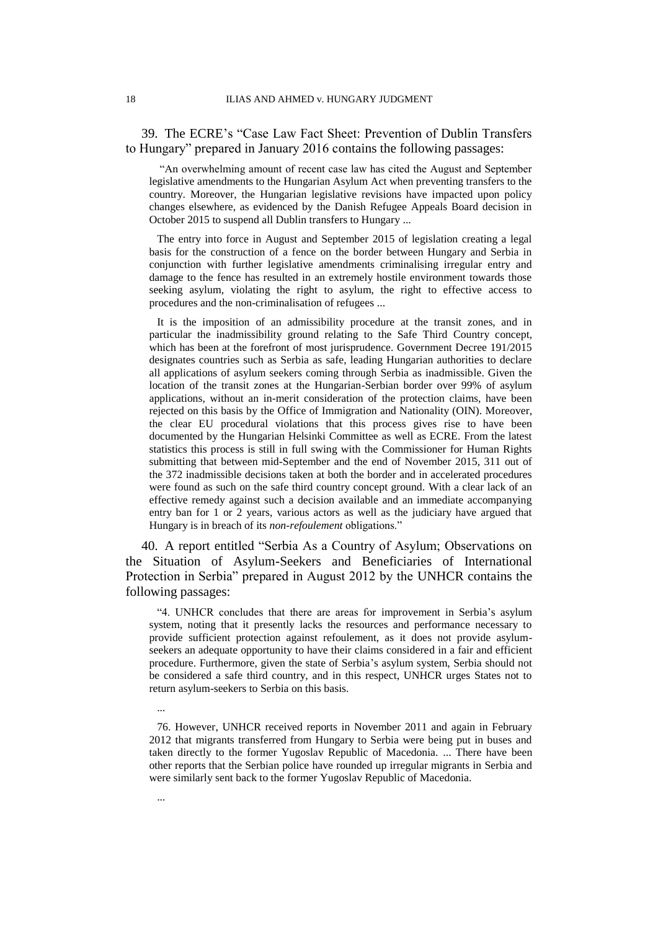39. The ECRE's "Case Law Fact Sheet: Prevention of Dublin Transfers to Hungary" prepared in January 2016 contains the following passages:

"An overwhelming amount of recent case law has cited the August and September legislative amendments to the Hungarian Asylum Act when preventing transfers to the country. Moreover, the Hungarian legislative revisions have impacted upon policy changes elsewhere, as evidenced by the Danish Refugee Appeals Board decision in October 2015 to suspend all Dublin transfers to Hungary ...

The entry into force in August and September 2015 of legislation creating a legal basis for the construction of a fence on the border between Hungary and Serbia in conjunction with further legislative amendments criminalising irregular entry and damage to the fence has resulted in an extremely hostile environment towards those seeking asylum, violating the right to asylum, the right to effective access to procedures and the non-criminalisation of refugees ...

It is the imposition of an admissibility procedure at the transit zones, and in particular the inadmissibility ground relating to the Safe Third Country concept, which has been at the forefront of most jurisprudence. Government Decree 191/2015 designates countries such as Serbia as safe, leading Hungarian authorities to declare all applications of asylum seekers coming through Serbia as inadmissible. Given the location of the transit zones at the Hungarian-Serbian border over 99% of asylum applications, without an in-merit consideration of the protection claims, have been rejected on this basis by the Office of Immigration and Nationality (OIN). Moreover, the clear EU procedural violations that this process gives rise to have been documented by the Hungarian Helsinki Committee as well as ECRE. From the latest statistics this process is still in full swing with the Commissioner for Human Rights submitting that between mid-September and the end of November 2015, 311 out of the 372 inadmissible decisions taken at both the border and in accelerated procedures were found as such on the safe third country concept ground. With a clear lack of an effective remedy against such a decision available and an immediate accompanying entry ban for 1 or 2 years, various actors as well as the judiciary have argued that Hungary is in breach of its *non-refoulement* obligations."

40. A report entitled "Serbia As a Country of Asylum; Observations on the Situation of Asylum-Seekers and Beneficiaries of International Protection in Serbia" prepared in August 2012 by the UNHCR contains the following passages:

"4. UNHCR concludes that there are areas for improvement in Serbia's asylum system, noting that it presently lacks the resources and performance necessary to provide sufficient protection against refoulement, as it does not provide asylumseekers an adequate opportunity to have their claims considered in a fair and efficient procedure. Furthermore, given the state of Serbia's asylum system, Serbia should not be considered a safe third country, and in this respect, UNHCR urges States not to return asylum-seekers to Serbia on this basis.

...

...

<sup>76.</sup> However, UNHCR received reports in November 2011 and again in February 2012 that migrants transferred from Hungary to Serbia were being put in buses and taken directly to the former Yugoslav Republic of Macedonia. ... There have been other reports that the Serbian police have rounded up irregular migrants in Serbia and were similarly sent back to the former Yugoslav Republic of Macedonia.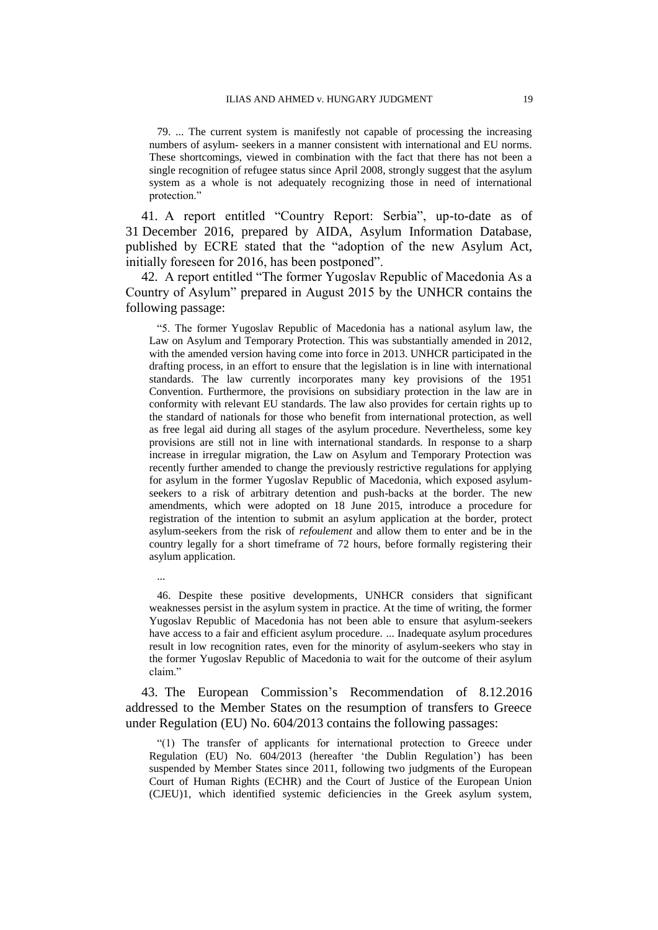79. ... The current system is manifestly not capable of processing the increasing numbers of asylum- seekers in a manner consistent with international and EU norms. These shortcomings, viewed in combination with the fact that there has not been a single recognition of refugee status since April 2008, strongly suggest that the asylum system as a whole is not adequately recognizing those in need of international protection."

41. A report entitled "Country Report: Serbia", up-to-date as of 31 December 2016, prepared by AIDA, Asylum Information Database, published by ECRE stated that the "adoption of the new Asylum Act, initially foreseen for 2016, has been postponed".

42. A report entitled "The former Yugoslav Republic of Macedonia As a Country of Asylum" prepared in August 2015 by the UNHCR contains the following passage:

"5. The former Yugoslav Republic of Macedonia has a national asylum law, the Law on Asylum and Temporary Protection. This was substantially amended in 2012, with the amended version having come into force in 2013. UNHCR participated in the drafting process, in an effort to ensure that the legislation is in line with international standards. The law currently incorporates many key provisions of the 1951 Convention. Furthermore, the provisions on subsidiary protection in the law are in conformity with relevant EU standards. The law also provides for certain rights up to the standard of nationals for those who benefit from international protection, as well as free legal aid during all stages of the asylum procedure. Nevertheless, some key provisions are still not in line with international standards. In response to a sharp increase in irregular migration, the Law on Asylum and Temporary Protection was recently further amended to change the previously restrictive regulations for applying for asylum in the former Yugoslav Republic of Macedonia, which exposed asylumseekers to a risk of arbitrary detention and push-backs at the border. The new amendments, which were adopted on 18 June 2015, introduce a procedure for registration of the intention to submit an asylum application at the border, protect asylum-seekers from the risk of *refoulement* and allow them to enter and be in the country legally for a short timeframe of 72 hours, before formally registering their asylum application.

46. Despite these positive developments, UNHCR considers that significant weaknesses persist in the asylum system in practice. At the time of writing, the former Yugoslav Republic of Macedonia has not been able to ensure that asylum-seekers have access to a fair and efficient asylum procedure. ... Inadequate asylum procedures result in low recognition rates, even for the minority of asylum-seekers who stay in the former Yugoslav Republic of Macedonia to wait for the outcome of their asylum claim."

...

43. The European Commission's Recommendation of 8.12.2016 addressed to the Member States on the resumption of transfers to Greece under Regulation (EU) No. 604/2013 contains the following passages:

"(1) The transfer of applicants for international protection to Greece under Regulation (EU) No. 604/2013 (hereafter 'the Dublin Regulation') has been suspended by Member States since 2011, following two judgments of the European Court of Human Rights (ECHR) and the Court of Justice of the European Union (CJEU)1, which identified systemic deficiencies in the Greek asylum system,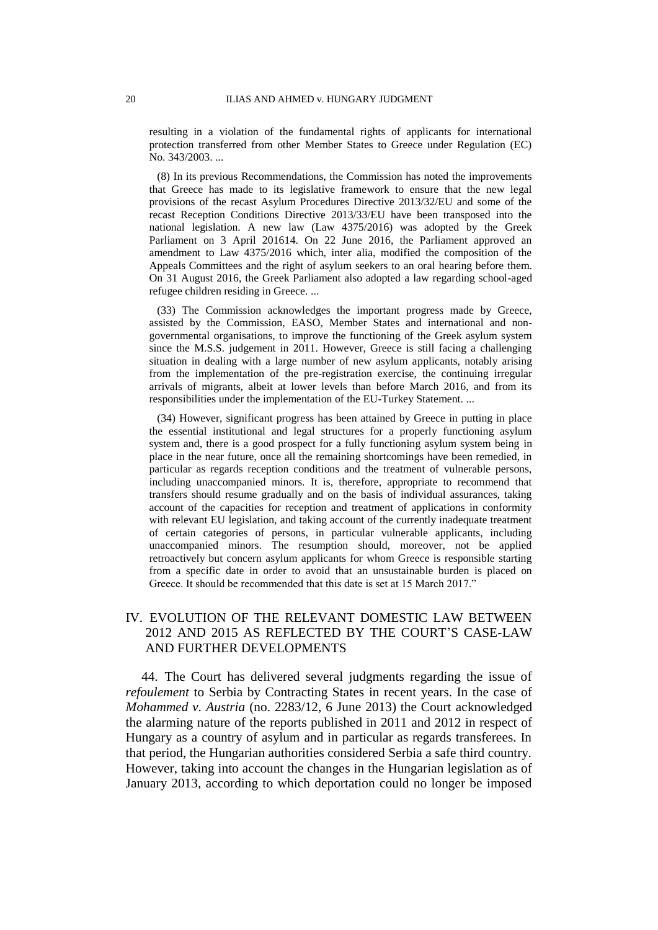resulting in a violation of the fundamental rights of applicants for international protection transferred from other Member States to Greece under Regulation (EC) No. 343/2003. ...

(8) In its previous Recommendations, the Commission has noted the improvements that Greece has made to its legislative framework to ensure that the new legal provisions of the recast Asylum Procedures Directive 2013/32/EU and some of the recast Reception Conditions Directive 2013/33/EU have been transposed into the national legislation. A new law (Law 4375/2016) was adopted by the Greek Parliament on 3 April 201614. On 22 June 2016, the Parliament approved an amendment to Law 4375/2016 which, inter alia, modified the composition of the Appeals Committees and the right of asylum seekers to an oral hearing before them. On 31 August 2016, the Greek Parliament also adopted a law regarding school-aged refugee children residing in Greece. ...

(33) The Commission acknowledges the important progress made by Greece, assisted by the Commission, EASO, Member States and international and nongovernmental organisations, to improve the functioning of the Greek asylum system since the M.S.S. judgement in 2011. However, Greece is still facing a challenging situation in dealing with a large number of new asylum applicants, notably arising from the implementation of the pre-registration exercise, the continuing irregular arrivals of migrants, albeit at lower levels than before March 2016, and from its responsibilities under the implementation of the EU-Turkey Statement. ...

(34) However, significant progress has been attained by Greece in putting in place the essential institutional and legal structures for a properly functioning asylum system and, there is a good prospect for a fully functioning asylum system being in place in the near future, once all the remaining shortcomings have been remedied, in particular as regards reception conditions and the treatment of vulnerable persons, including unaccompanied minors. It is, therefore, appropriate to recommend that transfers should resume gradually and on the basis of individual assurances, taking account of the capacities for reception and treatment of applications in conformity with relevant EU legislation, and taking account of the currently inadequate treatment of certain categories of persons, in particular vulnerable applicants, including unaccompanied minors. The resumption should, moreover, not be applied retroactively but concern asylum applicants for whom Greece is responsible starting from a specific date in order to avoid that an unsustainable burden is placed on Greece. It should be recommended that this date is set at 15 March 2017."

## IV. EVOLUTION OF THE RELEVANT DOMESTIC LAW BETWEEN 2012 AND 2015 AS REFLECTED BY THE COURT'S CASE-LAW AND FURTHER DEVELOPMENTS

44. The Court has delivered several judgments regarding the issue of *refoulement* to Serbia by Contracting States in recent years. In the case of *Mohammed v. Austria* (no. 2283/12, 6 June 2013) the Court acknowledged the alarming nature of the reports published in 2011 and 2012 in respect of Hungary as a country of asylum and in particular as regards transferees. In that period, the Hungarian authorities considered Serbia a safe third country. However, taking into account the changes in the Hungarian legislation as of January 2013, according to which deportation could no longer be imposed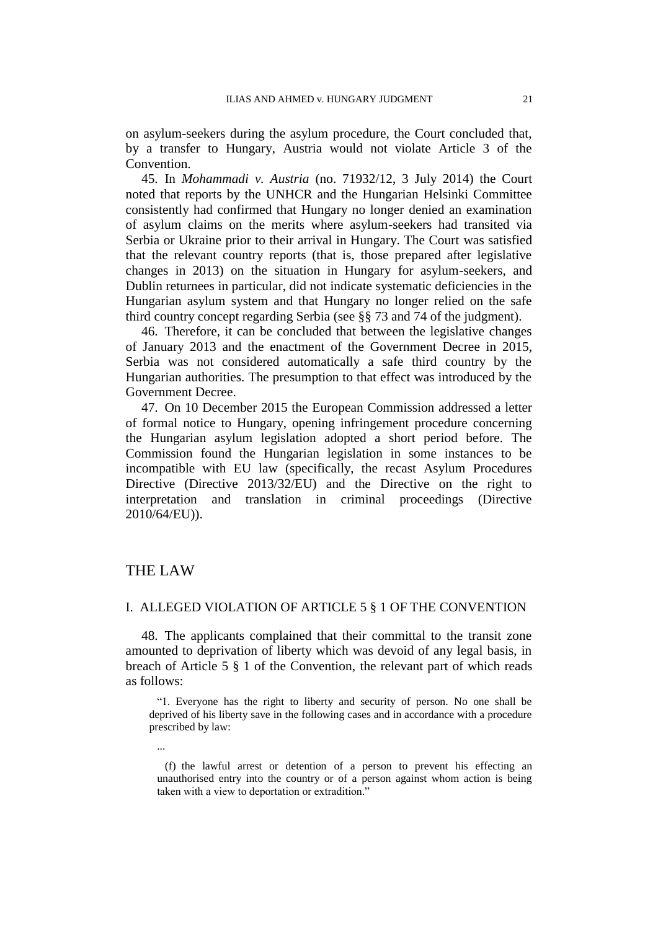on asylum-seekers during the asylum procedure, the Court concluded that, by a transfer to Hungary, Austria would not violate Article 3 of the Convention.

45. In *Mohammadi v. Austria* (no. 71932/12, 3 July 2014) the Court noted that reports by the UNHCR and the Hungarian Helsinki Committee consistently had confirmed that Hungary no longer denied an examination of asylum claims on the merits where asylum-seekers had transited via Serbia or Ukraine prior to their arrival in Hungary. The Court was satisfied that the relevant country reports (that is, those prepared after legislative changes in 2013) on the situation in Hungary for asylum-seekers, and Dublin returnees in particular, did not indicate systematic deficiencies in the Hungarian asylum system and that Hungary no longer relied on the safe third country concept regarding Serbia (see §§ 73 and 74 of the judgment).

46. Therefore, it can be concluded that between the legislative changes of January 2013 and the enactment of the Government Decree in 2015, Serbia was not considered automatically a safe third country by the Hungarian authorities. The presumption to that effect was introduced by the Government Decree.

47. On 10 December 2015 the European Commission addressed a letter of formal notice to Hungary, opening infringement procedure concerning the Hungarian asylum legislation adopted a short period before. The Commission found the Hungarian legislation in some instances to be incompatible with EU law (specifically, the recast Asylum Procedures Directive (Directive 2013/32/EU) and the Directive on the right to interpretation and translation in criminal proceedings (Directive 2010/64/EU)).

## THE LAW

...

## I. ALLEGED VIOLATION OF ARTICLE 5 § 1 OF THE CONVENTION

48. The applicants complained that their committal to the transit zone amounted to deprivation of liberty which was devoid of any legal basis, in breach of Article 5 § 1 of the Convention, the relevant part of which reads as follows:

"1. Everyone has the right to liberty and security of person. No one shall be deprived of his liberty save in the following cases and in accordance with a procedure prescribed by law:

(f) the lawful arrest or detention of a person to prevent his effecting an unauthorised entry into the country or of a person against whom action is being taken with a view to deportation or extradition."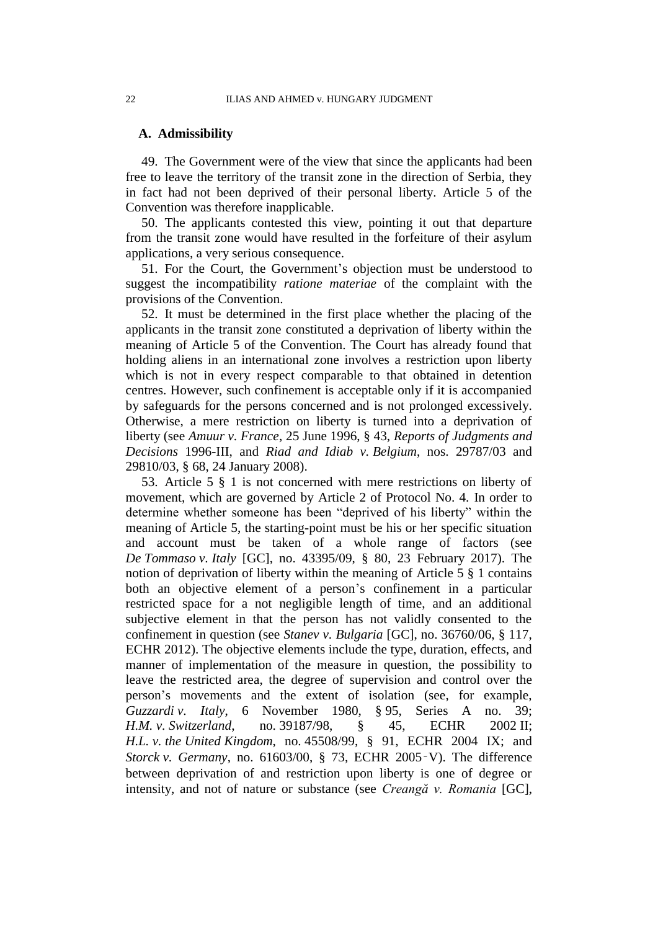### **A. Admissibility**

49. The Government were of the view that since the applicants had been free to leave the territory of the transit zone in the direction of Serbia, they in fact had not been deprived of their personal liberty. Article 5 of the Convention was therefore inapplicable.

50. The applicants contested this view, pointing it out that departure from the transit zone would have resulted in the forfeiture of their asylum applications, a very serious consequence.

51. For the Court, the Government's objection must be understood to suggest the incompatibility *ratione materiae* of the complaint with the provisions of the Convention.

52. It must be determined in the first place whether the placing of the applicants in the transit zone constituted a deprivation of liberty within the meaning of Article 5 of the Convention. The Court has already found that holding aliens in an international zone involves a restriction upon liberty which is not in every respect comparable to that obtained in detention centres. However, such confinement is acceptable only if it is accompanied by safeguards for the persons concerned and is not prolonged excessively. Otherwise, a mere restriction on liberty is turned into a deprivation of liberty (see *Amuur v. France*, 25 June 1996, § 43, *Reports of Judgments and Decisions* 1996-III, and *Riad and Idiab v. Belgium*, nos. 29787/03 and 29810/03, § 68, 24 January 2008).

53. Article 5 § 1 is not concerned with mere restrictions on liberty of movement, which are governed by Article 2 of Protocol No. 4. In order to determine whether someone has been "deprived of his liberty" within the meaning of Article 5, the starting-point must be his or her specific situation and account must be taken of a whole range of factors (see *De Tommaso v. Italy* [GC], no. 43395/09, § 80, 23 February 2017). The notion of deprivation of liberty within the meaning of Article 5 § 1 contains both an objective element of a person's confinement in a particular restricted space for a not negligible length of time, and an additional subjective element in that the person has not validly consented to the confinement in question (see *Stanev v. Bulgaria* [GC], no. 36760/06, § 117, ECHR 2012). The objective elements include the type, duration, effects, and manner of implementation of the measure in question, the possibility to leave the restricted area, the degree of supervision and control over the person's movements and the extent of isolation (see, for example, *Guzzardi v. Italy*, 6 November 1980, § 95, Series A no. 39; *H.M. v. Switzerland*, no. 39187/98, § 45, ECHR 2002 II; *H.L. v. the United Kingdom*, no. 45508/99, § 91, ECHR 2004 IX; and *Storck v. Germany*, no. 61603/00, § 73, ECHR 2005‑V). The difference between deprivation of and restriction upon liberty is one of degree or intensity, and not of nature or substance (see *Creangă v. Romania* [GC],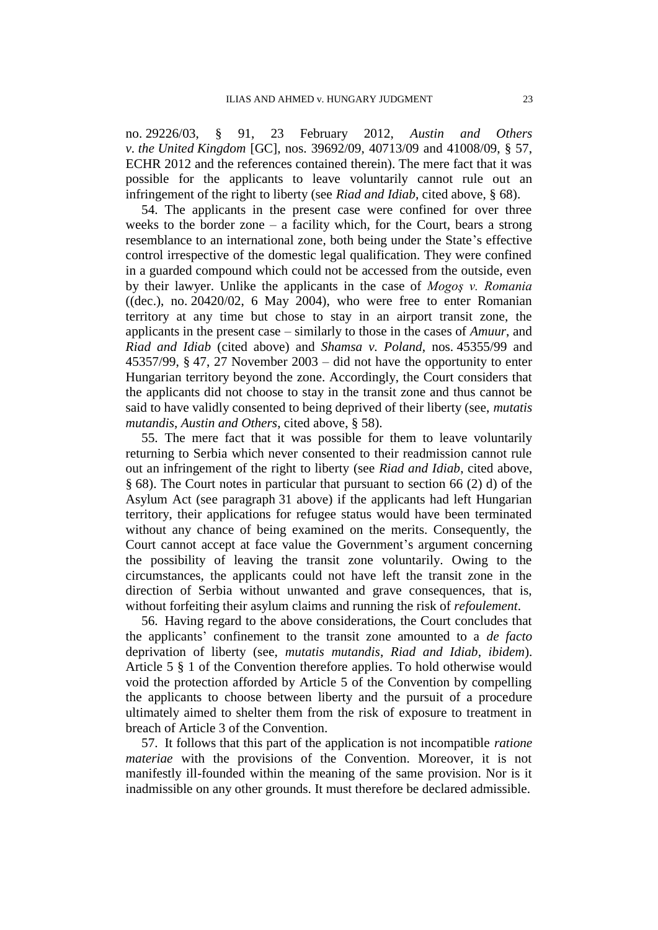no. 29226/03, § 91, 23 February 2012, *Austin and Others v. the United Kingdom* [GC], nos. 39692/09, 40713/09 and 41008/09, § 57, ECHR 2012 and the references contained therein). The mere fact that it was possible for the applicants to leave voluntarily cannot rule out an infringement of the right to liberty (see *Riad and Idiab*, cited above, § 68).

54. The applicants in the present case were confined for over three weeks to the border zone – a facility which, for the Court, bears a strong resemblance to an international zone, both being under the State's effective control irrespective of the domestic legal qualification. They were confined in a guarded compound which could not be accessed from the outside, even by their lawyer. Unlike the applicants in the case of *Mogoş v. Romania* ((dec.), no. 20420/02, 6 May 2004), who were free to enter Romanian territory at any time but chose to stay in an airport transit zone, the applicants in the present case – similarly to those in the cases of *Amuur*, and *Riad and Idiab* (cited above) and *Shamsa v. Poland*, nos. 45355/99 and 45357/99, § 47, 27 November 2003 – did not have the opportunity to enter Hungarian territory beyond the zone. Accordingly, the Court considers that the applicants did not choose to stay in the transit zone and thus cannot be said to have validly consented to being deprived of their liberty (see, *mutatis mutandis*, *Austin and Others*, cited above, § 58).

55. The mere fact that it was possible for them to leave voluntarily returning to Serbia which never consented to their readmission cannot rule out an infringement of the right to liberty (see *Riad and Idiab*, cited above, § 68). The Court notes in particular that pursuant to section 66 (2) d) of the Asylum Act (see paragraph 31 above) if the applicants had left Hungarian territory, their applications for refugee status would have been terminated without any chance of being examined on the merits. Consequently, the Court cannot accept at face value the Government's argument concerning the possibility of leaving the transit zone voluntarily. Owing to the circumstances, the applicants could not have left the transit zone in the direction of Serbia without unwanted and grave consequences, that is, without forfeiting their asylum claims and running the risk of *refoulement*.

56. Having regard to the above considerations, the Court concludes that the applicants' confinement to the transit zone amounted to a *de facto* deprivation of liberty (see, *mutatis mutandis*, *Riad and Idiab*, *ibidem*). Article 5 § 1 of the Convention therefore applies. To hold otherwise would void the protection afforded by Article 5 of the Convention by compelling the applicants to choose between liberty and the pursuit of a procedure ultimately aimed to shelter them from the risk of exposure to treatment in breach of Article 3 of the Convention.

57. It follows that this part of the application is not incompatible *ratione materiae* with the provisions of the Convention. Moreover, it is not manifestly ill-founded within the meaning of the same provision. Nor is it inadmissible on any other grounds. It must therefore be declared admissible.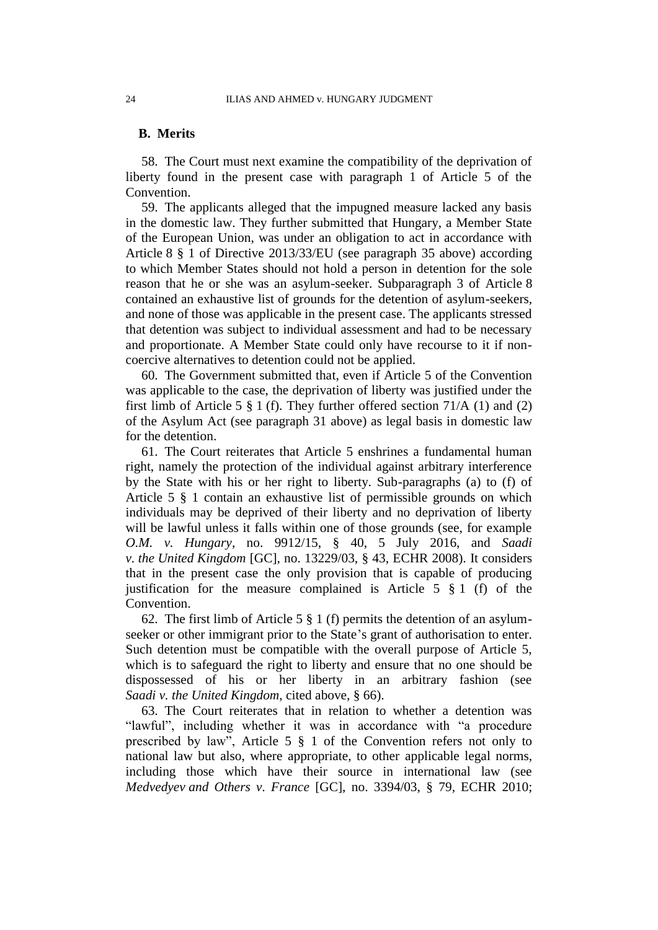## **B. Merits**

58. The Court must next examine the compatibility of the deprivation of liberty found in the present case with paragraph 1 of Article 5 of the Convention.

59. The applicants alleged that the impugned measure lacked any basis in the domestic law. They further submitted that Hungary, a Member State of the European Union, was under an obligation to act in accordance with Article 8 § 1 of Directive 2013/33/EU (see paragraph 35 above) according to which Member States should not hold a person in detention for the sole reason that he or she was an asylum-seeker. Subparagraph 3 of Article 8 contained an exhaustive list of grounds for the detention of asylum-seekers, and none of those was applicable in the present case. The applicants stressed that detention was subject to individual assessment and had to be necessary and proportionate. A Member State could only have recourse to it if noncoercive alternatives to detention could not be applied.

60. The Government submitted that, even if Article 5 of the Convention was applicable to the case, the deprivation of liberty was justified under the first limb of Article 5  $\S$  1 (f). They further offered section 71/A (1) and (2) of the Asylum Act (see paragraph 31 above) as legal basis in domestic law for the detention.

61. The Court reiterates that Article 5 enshrines a fundamental human right, namely the protection of the individual against arbitrary interference by the State with his or her right to liberty. Sub-paragraphs (a) to (f) of Article 5 § 1 contain an exhaustive list of permissible grounds on which individuals may be deprived of their liberty and no deprivation of liberty will be lawful unless it falls within one of those grounds (see, for example *O.M. v. Hungary*, no. 9912/15, § 40, 5 July 2016, and *Saadi v. the United Kingdom* [GC], no. 13229/03, § 43, ECHR 2008). It considers that in the present case the only provision that is capable of producing justification for the measure complained is Article  $5 \tS 1$  (f) of the Convention.

62. The first limb of Article 5  $\S$  1 (f) permits the detention of an asylumseeker or other immigrant prior to the State's grant of authorisation to enter. Such detention must be compatible with the overall purpose of Article 5, which is to safeguard the right to liberty and ensure that no one should be dispossessed of his or her liberty in an arbitrary fashion (see *Saadi v. the United Kingdom*, cited above, § 66).

63. The Court reiterates that in relation to whether a detention was "lawful", including whether it was in accordance with "a procedure prescribed by law", Article 5 § 1 of the Convention refers not only to national law but also, where appropriate, to other applicable legal norms, including those which have their source in international law (see *Medvedyev and Others v. France* [GC], no. 3394/03, § 79, ECHR 2010;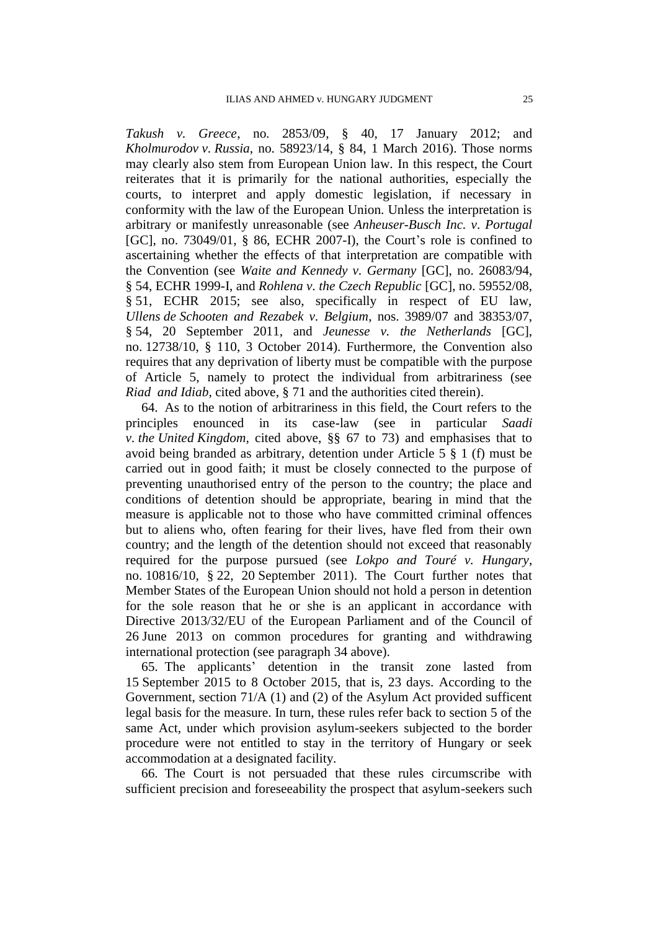*Takush v. Greece*, no. 2853/09, § 40, 17 January 2012; and *Kholmurodov v. Russia*, no. 58923/14, § 84, 1 March 2016). Those norms may clearly also stem from European Union law. In this respect, the Court reiterates that it is primarily for the national authorities, especially the courts, to interpret and apply domestic legislation, if necessary in conformity with the law of the European Union. Unless the interpretation is arbitrary or manifestly unreasonable (see *Anheuser-Busch Inc. v*. *Portugal* [GC], no. 73049/01, § 86, ECHR 2007-I), the Court's role is confined to ascertaining whether the effects of that interpretation are compatible with the Convention (see *Waite and Kennedy v. Germany* [GC], no. 26083/94, § 54, ECHR 1999-I, and *Rohlena v. the Czech Republic* [GC], no. 59552/08, § 51, ECHR 2015; see also, specifically in respect of EU law, *Ullens de Schooten and Rezabek v. Belgium*, nos. 3989/07 and 38353/07, § 54, 20 September 2011, and *Jeunesse v. the Netherlands* [GC], no. 12738/10, § 110, 3 October 2014). Furthermore, the Convention also requires that any deprivation of liberty must be compatible with the purpose of Article 5, namely to protect the individual from arbitrariness (see *Riad and Idiab*, cited above, § 71 and the authorities cited therein).

64. As to the notion of arbitrariness in this field, the Court refers to the principles enounced in its case-law (see in particular *Saadi v. the United Kingdom*, cited above, §§ 67 to 73) and emphasises that to avoid being branded as arbitrary, detention under Article 5 § 1 (f) must be carried out in good faith; it must be closely connected to the purpose of preventing unauthorised entry of the person to the country; the place and conditions of detention should be appropriate, bearing in mind that the measure is applicable not to those who have committed criminal offences but to aliens who, often fearing for their lives, have fled from their own country; and the length of the detention should not exceed that reasonably required for the purpose pursued (see *Lokpo and Touré v. Hungary*, no. 10816/10, § 22, 20 September 2011). The Court further notes that Member States of the European Union should not hold a person in detention for the sole reason that he or she is an applicant in accordance with Directive 2013/32/EU of the European Parliament and of the Council of 26 June 2013 on common procedures for granting and withdrawing international protection (see paragraph 34 above).

65. The applicants' detention in the transit zone lasted from 15 September 2015 to 8 October 2015, that is, 23 days. According to the Government, section 71/A (1) and (2) of the Asylum Act provided sufficent legal basis for the measure. In turn, these rules refer back to section 5 of the same Act, under which provision asylum-seekers subjected to the border procedure were not entitled to stay in the territory of Hungary or seek accommodation at a designated facility.

66. The Court is not persuaded that these rules circumscribe with sufficient precision and foreseeability the prospect that asylum-seekers such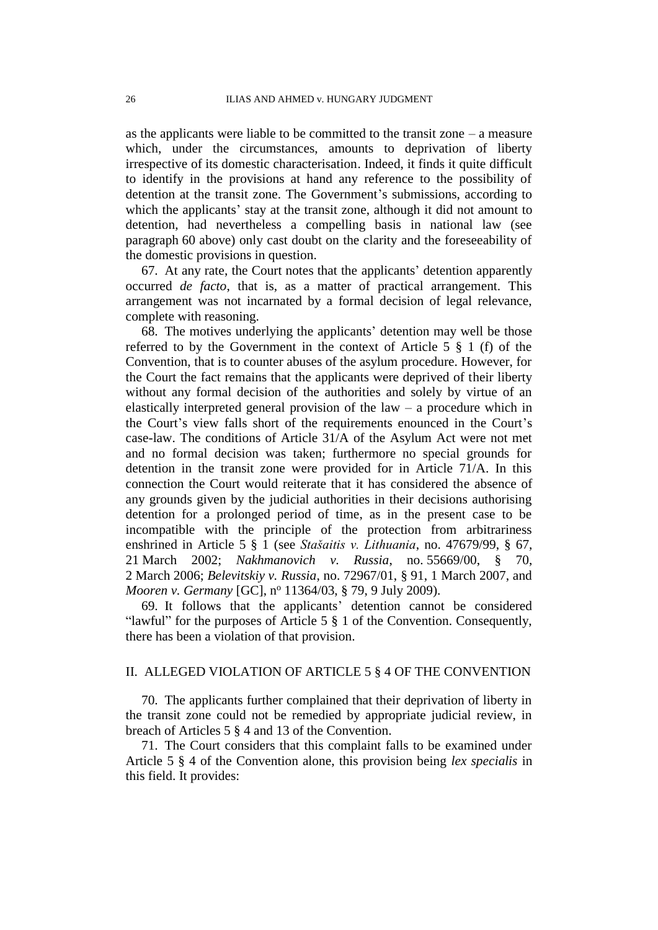as the applicants were liable to be committed to the transit zone – a measure which, under the circumstances, amounts to deprivation of liberty irrespective of its domestic characterisation. Indeed, it finds it quite difficult to identify in the provisions at hand any reference to the possibility of detention at the transit zone. The Government's submissions, according to which the applicants' stay at the transit zone, although it did not amount to detention, had nevertheless a compelling basis in national law (see paragraph 60 above) only cast doubt on the clarity and the foreseeability of the domestic provisions in question.

67. At any rate, the Court notes that the applicants' detention apparently occurred *de facto*, that is, as a matter of practical arrangement. This arrangement was not incarnated by a formal decision of legal relevance, complete with reasoning.

68. The motives underlying the applicants' detention may well be those referred to by the Government in the context of Article 5 § 1 (f) of the Convention, that is to counter abuses of the asylum procedure. However, for the Court the fact remains that the applicants were deprived of their liberty without any formal decision of the authorities and solely by virtue of an elastically interpreted general provision of the law – a procedure which in the Court's view falls short of the requirements enounced in the Court's case-law. The conditions of Article 31/A of the Asylum Act were not met and no formal decision was taken; furthermore no special grounds for detention in the transit zone were provided for in Article 71/A. In this connection the Court would reiterate that it has considered the absence of any grounds given by the judicial authorities in their decisions authorising detention for a prolonged period of time, as in the present case to be incompatible with the principle of the protection from arbitrariness enshrined in Article 5 § 1 (see *Stašaitis v. Lithuania*, no. 47679/99, § 67, 21 March 2002; *Nakhmanovich v. Russia*, no. 55669/00, § 70, 2 March 2006; *Belevitskiy v. Russia*, no. 72967/01, § 91, 1 March 2007, and *Mooren v. Germany* [GC], nº 11364/03, § 79, 9 July 2009).

69. It follows that the applicants' detention cannot be considered "lawful" for the purposes of Article 5 § 1 of the Convention. Consequently, there has been a violation of that provision.

## II. ALLEGED VIOLATION OF ARTICLE 5 § 4 OF THE CONVENTION

70. The applicants further complained that their deprivation of liberty in the transit zone could not be remedied by appropriate judicial review, in breach of Articles 5 § 4 and 13 of the Convention.

71. The Court considers that this complaint falls to be examined under Article 5 § 4 of the Convention alone, this provision being *lex specialis* in this field. It provides: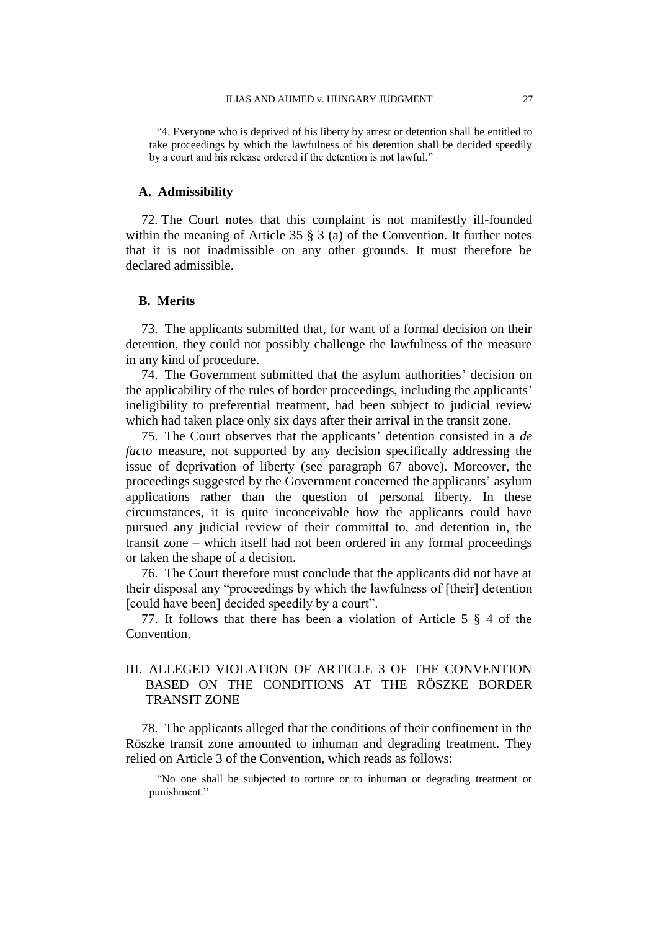"4. Everyone who is deprived of his liberty by arrest or detention shall be entitled to take proceedings by which the lawfulness of his detention shall be decided speedily by a court and his release ordered if the detention is not lawful."

### **A. Admissibility**

72. The Court notes that this complaint is not manifestly ill-founded within the meaning of Article 35 § 3 (a) of the Convention. It further notes that it is not inadmissible on any other grounds. It must therefore be declared admissible.

### **B. Merits**

73. The applicants submitted that, for want of a formal decision on their detention, they could not possibly challenge the lawfulness of the measure in any kind of procedure.

74. The Government submitted that the asylum authorities' decision on the applicability of the rules of border proceedings, including the applicants' ineligibility to preferential treatment, had been subject to judicial review which had taken place only six days after their arrival in the transit zone.

75. The Court observes that the applicants' detention consisted in a *de facto* measure, not supported by any decision specifically addressing the issue of deprivation of liberty (see paragraph 67 above). Moreover, the proceedings suggested by the Government concerned the applicants' asylum applications rather than the question of personal liberty. In these circumstances, it is quite inconceivable how the applicants could have pursued any judicial review of their committal to, and detention in, the transit zone – which itself had not been ordered in any formal proceedings or taken the shape of a decision.

76. The Court therefore must conclude that the applicants did not have at their disposal any "proceedings by which the lawfulness of [their] detention [could have been] decided speedily by a court".

77. It follows that there has been a violation of Article 5 § 4 of the Convention.

## III. ALLEGED VIOLATION OF ARTICLE 3 OF THE CONVENTION BASED ON THE CONDITIONS AT THE RÖSZKE BORDER TRANSIT ZONE

78. The applicants alleged that the conditions of their confinement in the Röszke transit zone amounted to inhuman and degrading treatment. They relied on Article 3 of the Convention, which reads as follows:

"No one shall be subjected to torture or to inhuman or degrading treatment or punishment."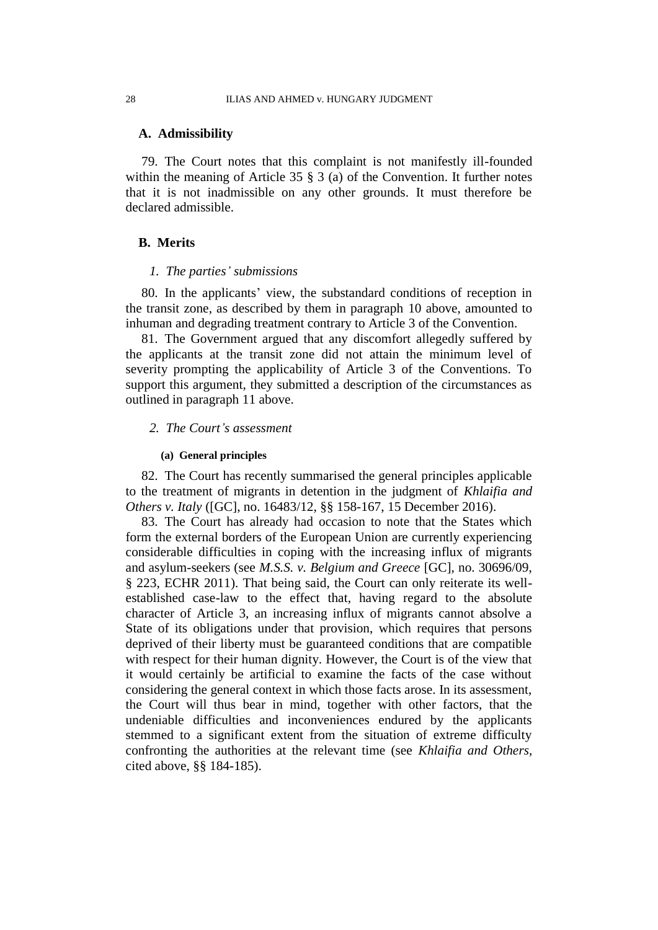### **A. Admissibility**

79. The Court notes that this complaint is not manifestly ill-founded within the meaning of Article 35 § 3 (a) of the Convention. It further notes that it is not inadmissible on any other grounds. It must therefore be declared admissible.

### **B. Merits**

### *1. The parties' submissions*

80. In the applicants' view, the substandard conditions of reception in the transit zone, as described by them in paragraph 10 above, amounted to inhuman and degrading treatment contrary to Article 3 of the Convention.

81. The Government argued that any discomfort allegedly suffered by the applicants at the transit zone did not attain the minimum level of severity prompting the applicability of Article 3 of the Conventions. To support this argument, they submitted a description of the circumstances as outlined in paragraph 11 above.

### *2. The Court's assessment*

### **(a) General principles**

82. The Court has recently summarised the general principles applicable to the treatment of migrants in detention in the judgment of *Khlaifia and Others v. Italy* ([GC], no. 16483/12, §§ 158-167, 15 December 2016).

83. The Court has already had occasion to note that the States which form the external borders of the European Union are currently experiencing considerable difficulties in coping with the increasing influx of migrants and asylum-seekers (see *M.S.S. v. Belgium and Greece* [GC], no. 30696/09, § 223, ECHR 2011). That being said, the Court can only reiterate its wellestablished case-law to the effect that, having regard to the absolute character of Article 3, an increasing influx of migrants cannot absolve a State of its obligations under that provision, which requires that persons deprived of their liberty must be guaranteed conditions that are compatible with respect for their human dignity. However, the Court is of the view that it would certainly be artificial to examine the facts of the case without considering the general context in which those facts arose. In its assessment, the Court will thus bear in mind, together with other factors, that the undeniable difficulties and inconveniences endured by the applicants stemmed to a significant extent from the situation of extreme difficulty confronting the authorities at the relevant time (see *Khlaifia and Others*, cited above, §§ 184-185).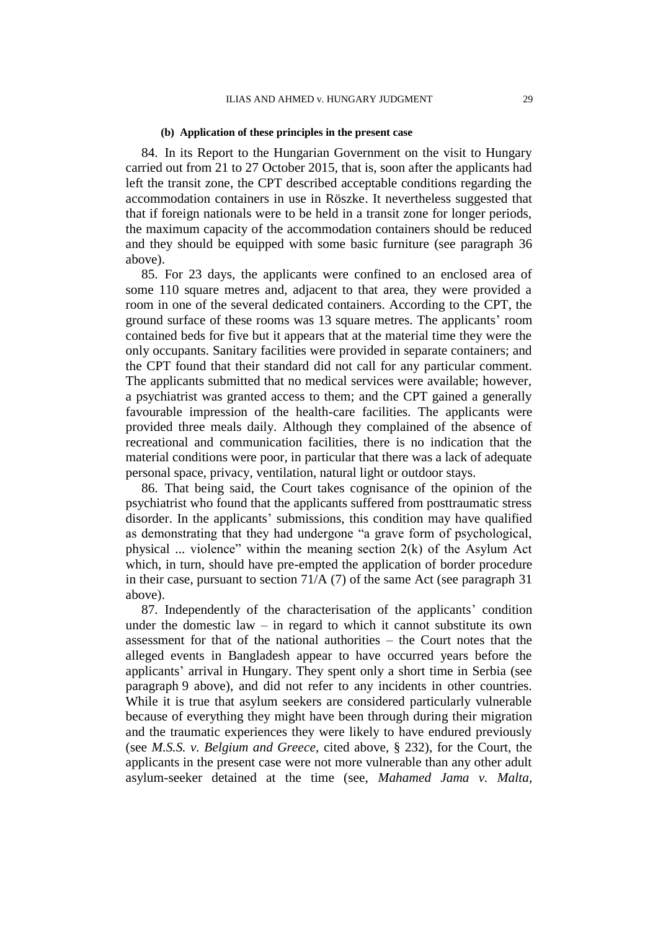#### **(b) Application of these principles in the present case**

84. In its Report to the Hungarian Government on the visit to Hungary carried out from 21 to 27 October 2015, that is, soon after the applicants had left the transit zone, the CPT described acceptable conditions regarding the accommodation containers in use in Röszke. It nevertheless suggested that that if foreign nationals were to be held in a transit zone for longer periods, the maximum capacity of the accommodation containers should be reduced and they should be equipped with some basic furniture (see paragraph 36 above).

85. For 23 days, the applicants were confined to an enclosed area of some 110 square metres and, adjacent to that area, they were provided a room in one of the several dedicated containers. According to the CPT, the ground surface of these rooms was 13 square metres. The applicants' room contained beds for five but it appears that at the material time they were the only occupants. Sanitary facilities were provided in separate containers; and the CPT found that their standard did not call for any particular comment. The applicants submitted that no medical services were available; however, a psychiatrist was granted access to them; and the CPT gained a generally favourable impression of the health-care facilities. The applicants were provided three meals daily. Although they complained of the absence of recreational and communication facilities, there is no indication that the material conditions were poor, in particular that there was a lack of adequate personal space, privacy, ventilation, natural light or outdoor stays.

86. That being said, the Court takes cognisance of the opinion of the psychiatrist who found that the applicants suffered from posttraumatic stress disorder. In the applicants' submissions, this condition may have qualified as demonstrating that they had undergone "a grave form of psychological, physical ... violence" within the meaning section 2(k) of the Asylum Act which, in turn, should have pre-empted the application of border procedure in their case, pursuant to section 71/A (7) of the same Act (see paragraph 31 above).

87. Independently of the characterisation of the applicants' condition under the domestic law  $-$  in regard to which it cannot substitute its own assessment for that of the national authorities – the Court notes that the alleged events in Bangladesh appear to have occurred years before the applicants' arrival in Hungary. They spent only a short time in Serbia (see paragraph 9 above), and did not refer to any incidents in other countries. While it is true that asylum seekers are considered particularly vulnerable because of everything they might have been through during their migration and the traumatic experiences they were likely to have endured previously (see *M.S.S. v. Belgium and Greece,* cited above, § 232), for the Court, the applicants in the present case were not more vulnerable than any other adult asylum-seeker detained at the time (see, *Mahamed Jama v. Malta*,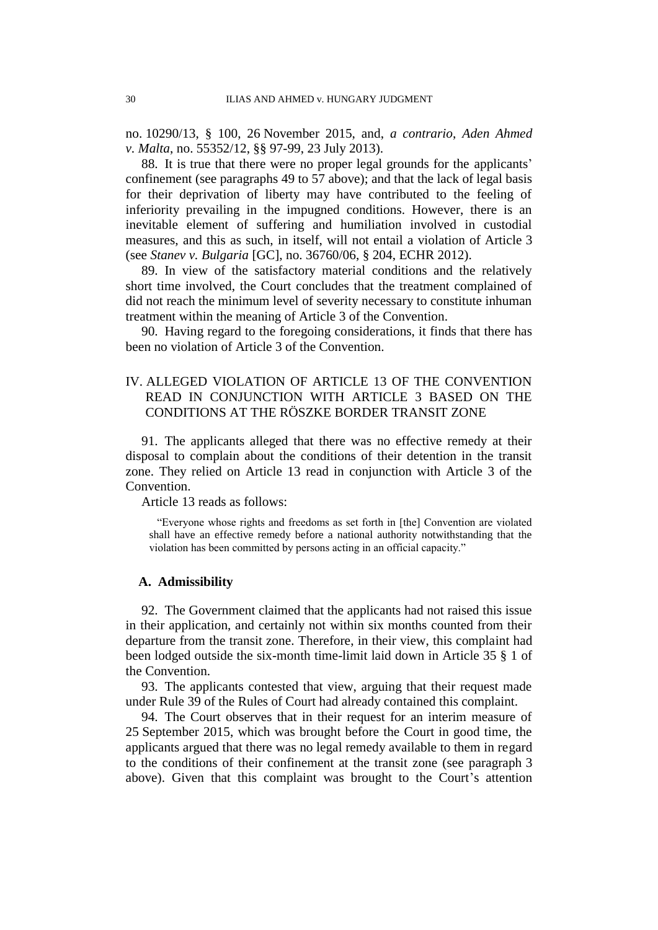no. 10290/13, § 100, 26 November 2015, and, *a contrario*, *Aden Ahmed v. Malta*, no. 55352/12, §§ 97-99, 23 July 2013).

88. It is true that there were no proper legal grounds for the applicants' confinement (see paragraphs 49 to 57 above); and that the lack of legal basis for their deprivation of liberty may have contributed to the feeling of inferiority prevailing in the impugned conditions. However, there is an inevitable element of suffering and humiliation involved in custodial measures, and this as such, in itself, will not entail a violation of Article 3 (see *Stanev v. Bulgaria* [GC], no. 36760/06, § 204, ECHR 2012).

89. In view of the satisfactory material conditions and the relatively short time involved, the Court concludes that the treatment complained of did not reach the minimum level of severity necessary to constitute inhuman treatment within the meaning of Article 3 of the Convention.

90. Having regard to the foregoing considerations, it finds that there has been no violation of Article 3 of the Convention.

## IV. ALLEGED VIOLATION OF ARTICLE 13 OF THE CONVENTION READ IN CONJUNCTION WITH ARTICLE 3 BASED ON THE CONDITIONS AT THE RÖSZKE BORDER TRANSIT ZONE

91. The applicants alleged that there was no effective remedy at their disposal to complain about the conditions of their detention in the transit zone. They relied on Article 13 read in conjunction with Article 3 of the Convention.

Article 13 reads as follows:

"Everyone whose rights and freedoms as set forth in [the] Convention are violated shall have an effective remedy before a national authority notwithstanding that the violation has been committed by persons acting in an official capacity."

#### **A. Admissibility**

92. The Government claimed that the applicants had not raised this issue in their application, and certainly not within six months counted from their departure from the transit zone. Therefore, in their view, this complaint had been lodged outside the six-month time-limit laid down in Article 35 § 1 of the Convention.

93. The applicants contested that view, arguing that their request made under Rule 39 of the Rules of Court had already contained this complaint.

94. The Court observes that in their request for an interim measure of 25 September 2015, which was brought before the Court in good time, the applicants argued that there was no legal remedy available to them in regard to the conditions of their confinement at the transit zone (see paragraph 3 above). Given that this complaint was brought to the Court's attention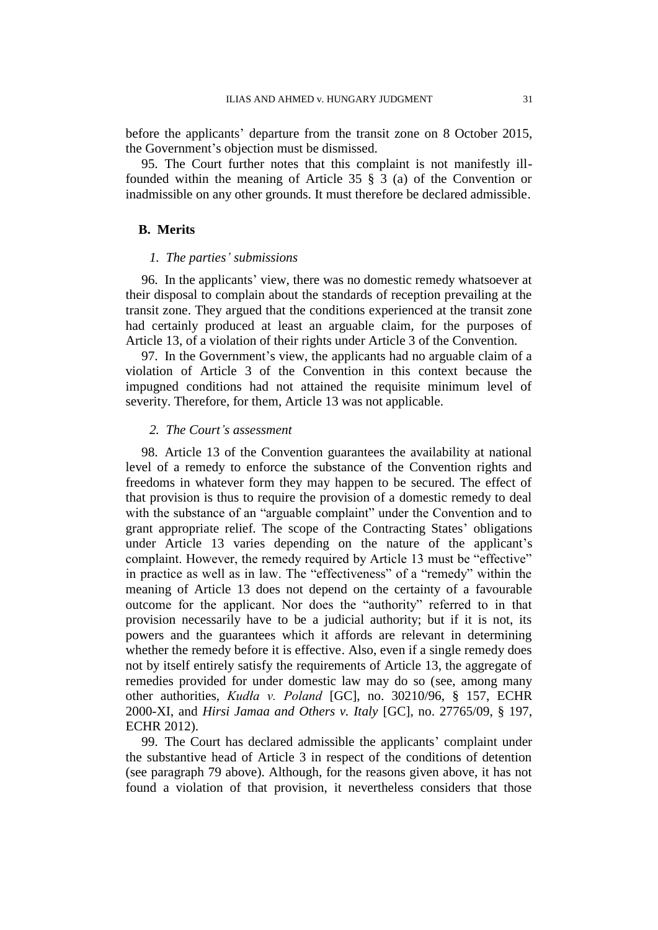before the applicants' departure from the transit zone on 8 October 2015, the Government's objection must be dismissed.

95. The Court further notes that this complaint is not manifestly illfounded within the meaning of Article 35 § 3 (a) of the Convention or inadmissible on any other grounds. It must therefore be declared admissible.

## **B. Merits**

### *1. The parties' submissions*

96. In the applicants' view, there was no domestic remedy whatsoever at their disposal to complain about the standards of reception prevailing at the transit zone. They argued that the conditions experienced at the transit zone had certainly produced at least an arguable claim, for the purposes of Article 13, of a violation of their rights under Article 3 of the Convention.

97. In the Government's view, the applicants had no arguable claim of a violation of Article 3 of the Convention in this context because the impugned conditions had not attained the requisite minimum level of severity. Therefore, for them, Article 13 was not applicable.

### *2. The Court's assessment*

98. Article 13 of the Convention guarantees the availability at national level of a remedy to enforce the substance of the Convention rights and freedoms in whatever form they may happen to be secured. The effect of that provision is thus to require the provision of a domestic remedy to deal with the substance of an "arguable complaint" under the Convention and to grant appropriate relief. The scope of the Contracting States' obligations under Article 13 varies depending on the nature of the applicant's complaint. However, the remedy required by Article 13 must be "effective" in practice as well as in law. The "effectiveness" of a "remedy" within the meaning of Article 13 does not depend on the certainty of a favourable outcome for the applicant. Nor does the "authority" referred to in that provision necessarily have to be a judicial authority; but if it is not, its powers and the guarantees which it affords are relevant in determining whether the remedy before it is effective. Also, even if a single remedy does not by itself entirely satisfy the requirements of Article 13, the aggregate of remedies provided for under domestic law may do so (see, among many other authorities, *Kudła v. Poland* [GC], no. 30210/96, § 157, ECHR 2000-XI, and *Hirsi Jamaa and Others v. Italy* [GC], no. 27765/09, § 197, ECHR 2012).

99. The Court has declared admissible the applicants' complaint under the substantive head of Article 3 in respect of the conditions of detention (see paragraph 79 above). Although, for the reasons given above, it has not found a violation of that provision, it nevertheless considers that those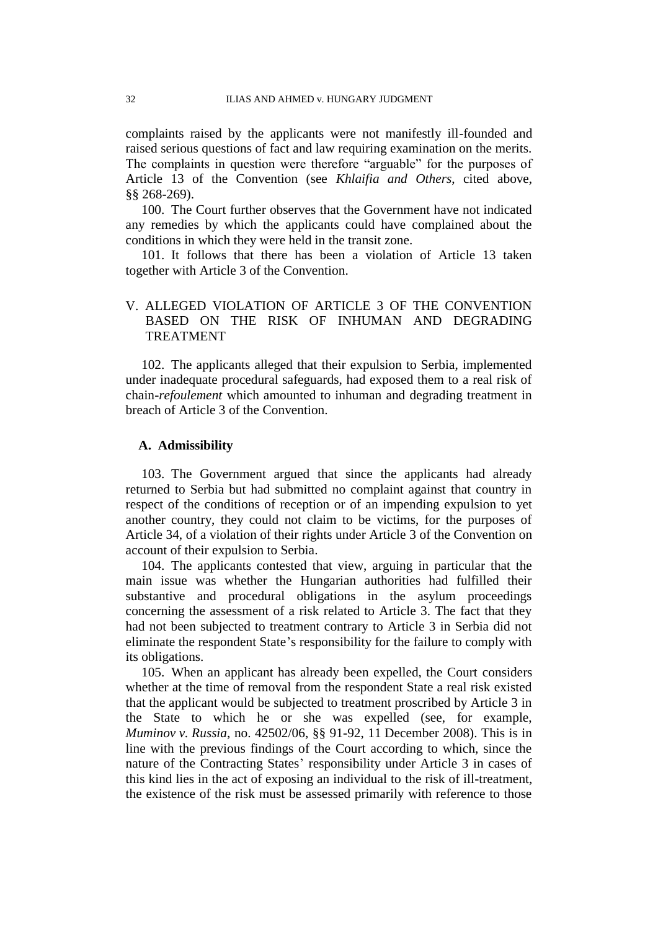complaints raised by the applicants were not manifestly ill-founded and raised serious questions of fact and law requiring examination on the merits. The complaints in question were therefore "arguable" for the purposes of Article 13 of the Convention (see *Khlaifia and Others*, cited above, §§ 268-269).

100. The Court further observes that the Government have not indicated any remedies by which the applicants could have complained about the conditions in which they were held in the transit zone.

101. It follows that there has been a violation of Article 13 taken together with Article 3 of the Convention.

## V. ALLEGED VIOLATION OF ARTICLE 3 OF THE CONVENTION BASED ON THE RISK OF INHUMAN AND DEGRADING TREATMENT

102. The applicants alleged that their expulsion to Serbia, implemented under inadequate procedural safeguards, had exposed them to a real risk of chain-*refoulement* which amounted to inhuman and degrading treatment in breach of Article 3 of the Convention.

### **A. Admissibility**

103. The Government argued that since the applicants had already returned to Serbia but had submitted no complaint against that country in respect of the conditions of reception or of an impending expulsion to yet another country, they could not claim to be victims, for the purposes of Article 34, of a violation of their rights under Article 3 of the Convention on account of their expulsion to Serbia.

104. The applicants contested that view, arguing in particular that the main issue was whether the Hungarian authorities had fulfilled their substantive and procedural obligations in the asylum proceedings concerning the assessment of a risk related to Article 3. The fact that they had not been subjected to treatment contrary to Article 3 in Serbia did not eliminate the respondent State's responsibility for the failure to comply with its obligations.

105. When an applicant has already been expelled, the Court considers whether at the time of removal from the respondent State a real risk existed that the applicant would be subjected to treatment proscribed by Article 3 in the State to which he or she was expelled (see, for example, *Muminov v. Russia*, no. 42502/06, §§ 91-92, 11 December 2008). This is in line with the previous findings of the Court according to which, since the nature of the Contracting States' responsibility under Article 3 in cases of this kind lies in the act of exposing an individual to the risk of ill-treatment, the existence of the risk must be assessed primarily with reference to those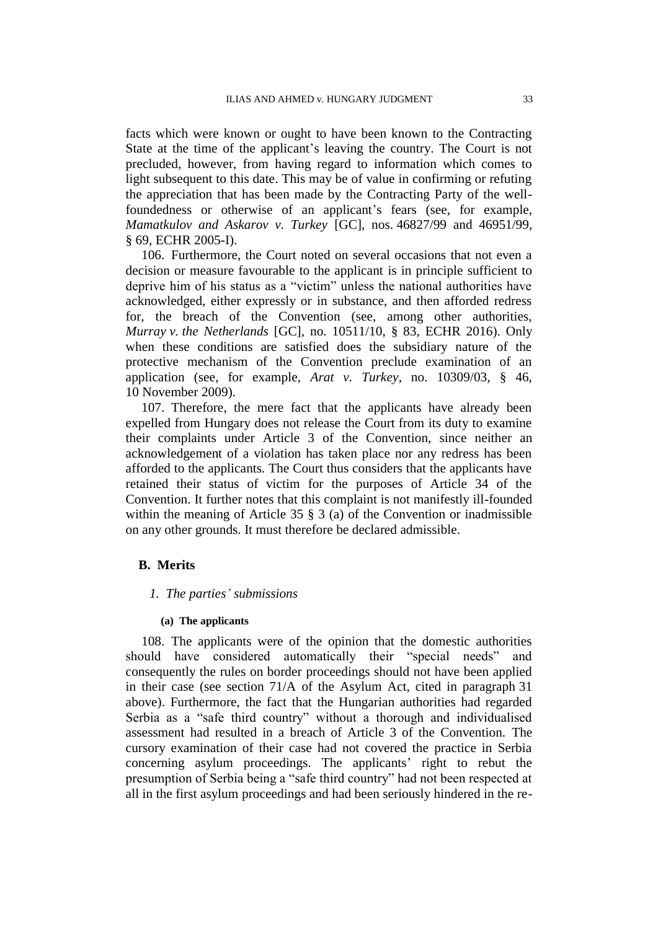facts which were known or ought to have been known to the Contracting State at the time of the applicant's leaving the country. The Court is not precluded, however, from having regard to information which comes to light subsequent to this date. This may be of value in confirming or refuting the appreciation that has been made by the Contracting Party of the wellfoundedness or otherwise of an applicant's fears (see, for example, *Mamatkulov and Askarov v. Turkey* [GC], nos. 46827/99 and 46951/99, § 69, ECHR 2005-I).

106. Furthermore, the Court noted on several occasions that not even a decision or measure favourable to the applicant is in principle sufficient to deprive him of his status as a "victim" unless the national authorities have acknowledged, either expressly or in substance, and then afforded redress for, the breach of the Convention (see, among other authorities, *Murray v. the Netherlands* [GC], no. 10511/10, § 83, ECHR 2016). Only when these conditions are satisfied does the subsidiary nature of the protective mechanism of the Convention preclude examination of an application (see, for example, *Arat v. Turkey*, no. 10309/03, § 46, 10 November 2009).

107. Therefore, the mere fact that the applicants have already been expelled from Hungary does not release the Court from its duty to examine their complaints under Article 3 of the Convention, since neither an acknowledgement of a violation has taken place nor any redress has been afforded to the applicants. The Court thus considers that the applicants have retained their status of victim for the purposes of Article 34 of the Convention. It further notes that this complaint is not manifestly ill-founded within the meaning of Article 35 § 3 (a) of the Convention or inadmissible on any other grounds. It must therefore be declared admissible.

## **B. Merits**

### *1. The parties' submissions*

### **(a) The applicants**

108. The applicants were of the opinion that the domestic authorities should have considered automatically their "special needs" and consequently the rules on border proceedings should not have been applied in their case (see section 71/A of the Asylum Act, cited in paragraph 31 above). Furthermore, the fact that the Hungarian authorities had regarded Serbia as a "safe third country" without a thorough and individualised assessment had resulted in a breach of Article 3 of the Convention. The cursory examination of their case had not covered the practice in Serbia concerning asylum proceedings. The applicants' right to rebut the presumption of Serbia being a "safe third country" had not been respected at all in the first asylum proceedings and had been seriously hindered in the re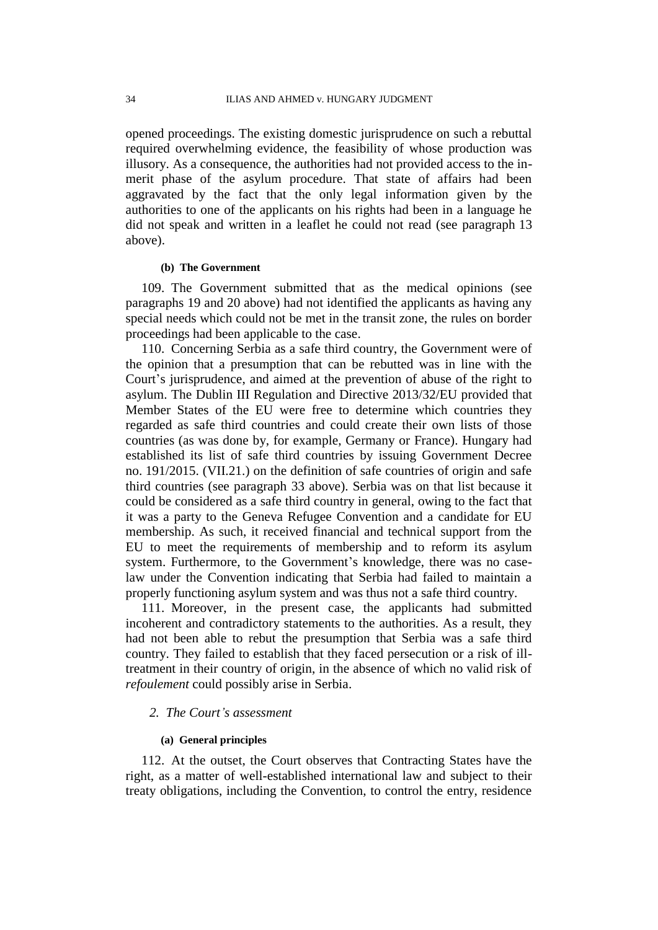opened proceedings. The existing domestic jurisprudence on such a rebuttal required overwhelming evidence, the feasibility of whose production was illusory. As a consequence, the authorities had not provided access to the inmerit phase of the asylum procedure. That state of affairs had been aggravated by the fact that the only legal information given by the authorities to one of the applicants on his rights had been in a language he did not speak and written in a leaflet he could not read (see paragraph 13 above).

### **(b) The Government**

109. The Government submitted that as the medical opinions (see paragraphs 19 and 20 above) had not identified the applicants as having any special needs which could not be met in the transit zone, the rules on border proceedings had been applicable to the case.

110. Concerning Serbia as a safe third country, the Government were of the opinion that a presumption that can be rebutted was in line with the Court's jurisprudence, and aimed at the prevention of abuse of the right to asylum. The Dublin III Regulation and Directive 2013/32/EU provided that Member States of the EU were free to determine which countries they regarded as safe third countries and could create their own lists of those countries (as was done by, for example, Germany or France). Hungary had established its list of safe third countries by issuing Government Decree no. 191/2015. (VII.21.) on the definition of safe countries of origin and safe third countries (see paragraph 33 above). Serbia was on that list because it could be considered as a safe third country in general, owing to the fact that it was a party to the Geneva Refugee Convention and a candidate for EU membership. As such, it received financial and technical support from the EU to meet the requirements of membership and to reform its asylum system. Furthermore, to the Government's knowledge, there was no caselaw under the Convention indicating that Serbia had failed to maintain a properly functioning asylum system and was thus not a safe third country.

111. Moreover, in the present case, the applicants had submitted incoherent and contradictory statements to the authorities. As a result, they had not been able to rebut the presumption that Serbia was a safe third country. They failed to establish that they faced persecution or a risk of illtreatment in their country of origin, in the absence of which no valid risk of *refoulement* could possibly arise in Serbia.

### *2. The Court's assessment*

#### **(a) General principles**

112. At the outset, the Court observes that Contracting States have the right, as a matter of well-established international law and subject to their treaty obligations, including the Convention, to control the entry, residence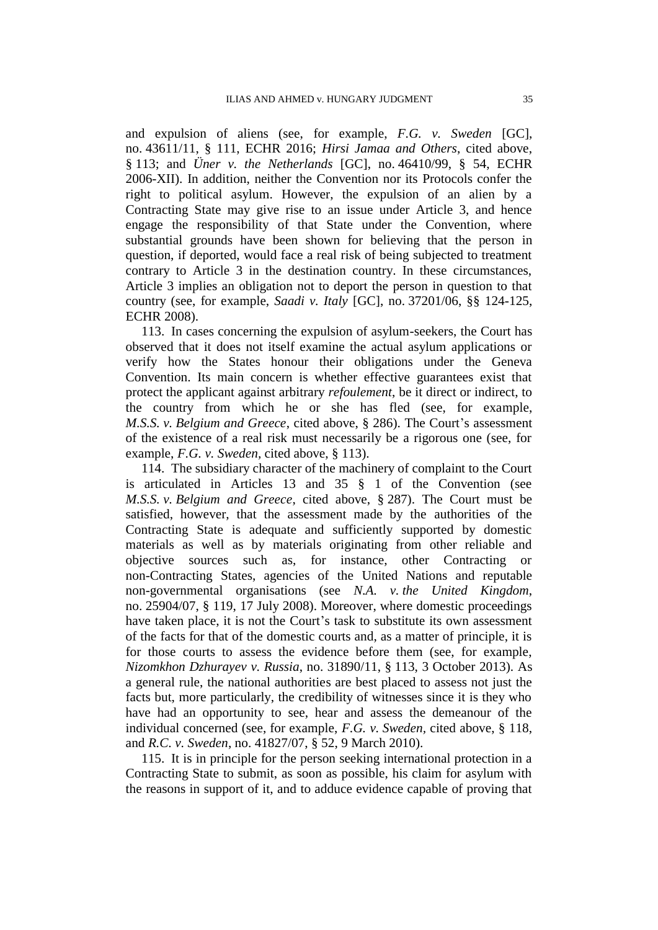and expulsion of aliens (see, for example, *F.G. v. Sweden* [GC], no. 43611/11, § 111, ECHR 2016; *Hirsi Jamaa and Others*, cited above, § 113; and *Üner v. the Netherlands* [GC], no. 46410/99, § 54, ECHR 2006-XII). In addition, neither the Convention nor its Protocols confer the right to political asylum. However, the expulsion of an alien by a Contracting State may give rise to an issue under Article 3, and hence engage the responsibility of that State under the Convention, where substantial grounds have been shown for believing that the person in question, if deported, would face a real risk of being subjected to treatment contrary to Article 3 in the destination country. In these circumstances, Article 3 implies an obligation not to deport the person in question to that country (see, for example, *Saadi v. Italy* [GC], no. 37201/06, §§ 124-125, ECHR 2008).

113. In cases concerning the expulsion of asylum-seekers, the Court has observed that it does not itself examine the actual asylum applications or verify how the States honour their obligations under the Geneva Convention. Its main concern is whether effective guarantees exist that protect the applicant against arbitrary *refoulement*, be it direct or indirect, to the country from which he or she has fled (see, for example, *M.S.S. v. Belgium and Greece*, cited above, § 286). The Court's assessment of the existence of a real risk must necessarily be a rigorous one (see, for example, *F.G. v. Sweden,* cited above, § 113).

114. The subsidiary character of the machinery of complaint to the Court is articulated in Articles 13 and 35 § 1 of the Convention (see *M.S.S. v. Belgium and Greece*, cited above, § 287). The Court must be satisfied, however, that the assessment made by the authorities of the Contracting State is adequate and sufficiently supported by domestic materials as well as by materials originating from other reliable and objective sources such as, for instance, other Contracting or non-Contracting States, agencies of the United Nations and reputable non-governmental organisations (see *N.A. v. the United Kingdom*, no. 25904/07, § 119, 17 July 2008). Moreover, where domestic proceedings have taken place, it is not the Court's task to substitute its own assessment of the facts for that of the domestic courts and, as a matter of principle, it is for those courts to assess the evidence before them (see, for example, *Nizomkhon Dzhurayev v. Russia*, no. 31890/11, § 113, 3 October 2013). As a general rule, the national authorities are best placed to assess not just the facts but, more particularly, the credibility of witnesses since it is they who have had an opportunity to see, hear and assess the demeanour of the individual concerned (see, for example, *F.G. v. Sweden,* cited above, § 118, and *R.C. v. Sweden*, no. 41827/07, § 52, 9 March 2010).

115. It is in principle for the person seeking international protection in a Contracting State to submit, as soon as possible, his claim for asylum with the reasons in support of it, and to adduce evidence capable of proving that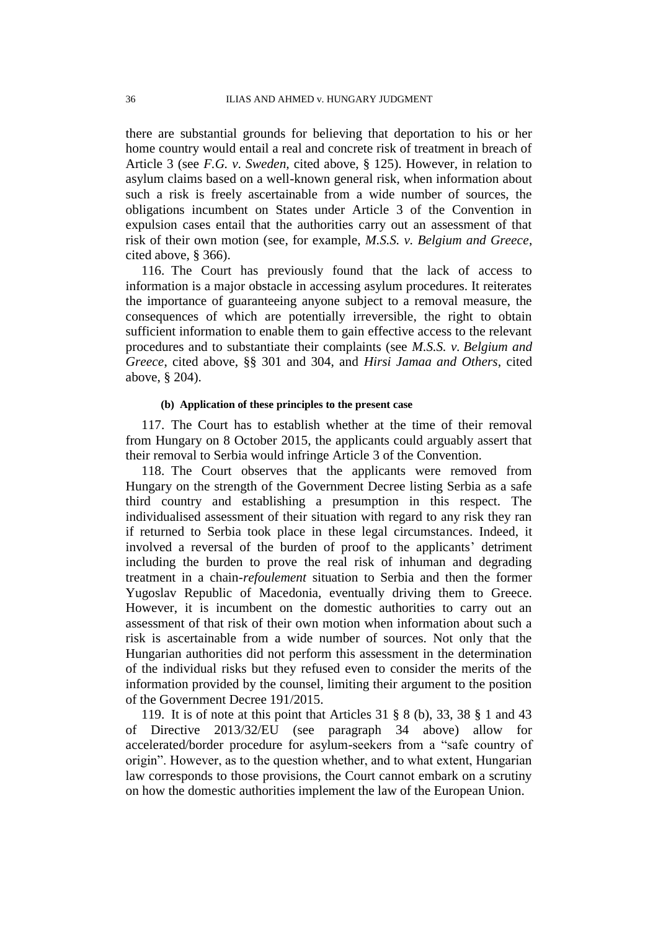there are substantial grounds for believing that deportation to his or her home country would entail a real and concrete risk of treatment in breach of Article 3 (see *F.G. v. Sweden,* cited above, § 125). However, in relation to asylum claims based on a well-known general risk, when information about such a risk is freely ascertainable from a wide number of sources, the obligations incumbent on States under Article 3 of the Convention in expulsion cases entail that the authorities carry out an assessment of that risk of their own motion (see, for example, *M.S.S. v. Belgium and Greece*, cited above, § 366).

116. The Court has previously found that the lack of access to information is a major obstacle in accessing asylum procedures. It reiterates the importance of guaranteeing anyone subject to a removal measure, the consequences of which are potentially irreversible, the right to obtain sufficient information to enable them to gain effective access to the relevant procedures and to substantiate their complaints (see *M.S.S. v. Belgium and Greece*, cited above, §§ 301 and 304, and *Hirsi Jamaa and Others*, cited above, § 204).

### **(b) Application of these principles to the present case**

117. The Court has to establish whether at the time of their removal from Hungary on 8 October 2015, the applicants could arguably assert that their removal to Serbia would infringe Article 3 of the Convention.

118. The Court observes that the applicants were removed from Hungary on the strength of the Government Decree listing Serbia as a safe third country and establishing a presumption in this respect. The individualised assessment of their situation with regard to any risk they ran if returned to Serbia took place in these legal circumstances. Indeed, it involved a reversal of the burden of proof to the applicants' detriment including the burden to prove the real risk of inhuman and degrading treatment in a chain-*refoulement* situation to Serbia and then the former Yugoslav Republic of Macedonia, eventually driving them to Greece. However, it is incumbent on the domestic authorities to carry out an assessment of that risk of their own motion when information about such a risk is ascertainable from a wide number of sources. Not only that the Hungarian authorities did not perform this assessment in the determination of the individual risks but they refused even to consider the merits of the information provided by the counsel, limiting their argument to the position of the Government Decree 191/2015.

119. It is of note at this point that Articles 31 § 8 (b), 33, 38 § 1 and 43 of Directive 2013/32/EU (see paragraph 34 above) allow for accelerated/border procedure for asylum-seekers from a "safe country of origin". However, as to the question whether, and to what extent, Hungarian law corresponds to those provisions, the Court cannot embark on a scrutiny on how the domestic authorities implement the law of the European Union.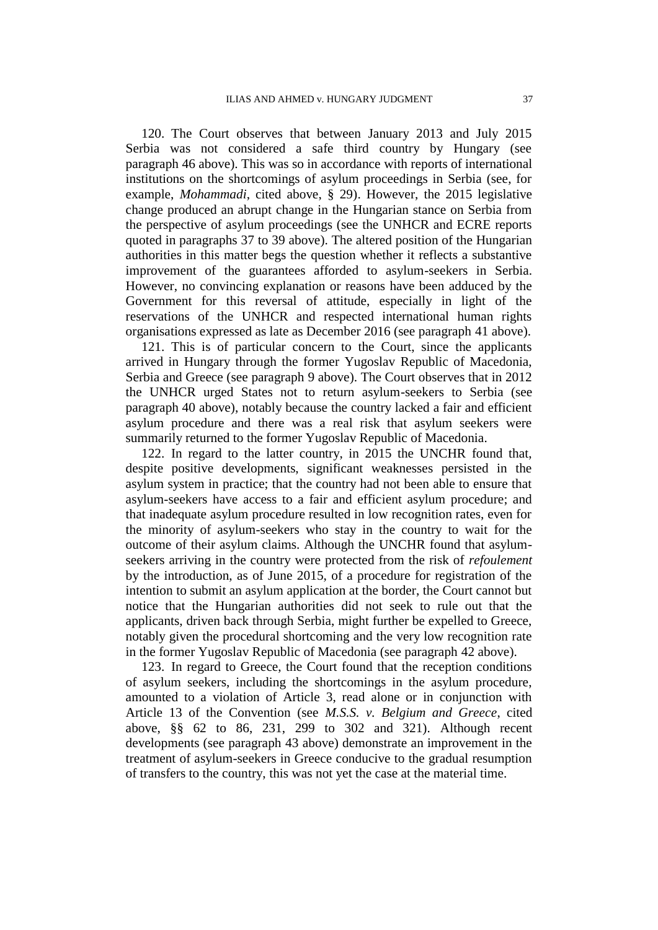120. The Court observes that between January 2013 and July 2015 Serbia was not considered a safe third country by Hungary (see paragraph 46 above). This was so in accordance with reports of international institutions on the shortcomings of asylum proceedings in Serbia (see, for example, *Mohammadi*, cited above, § 29). However, the 2015 legislative change produced an abrupt change in the Hungarian stance on Serbia from the perspective of asylum proceedings (see the UNHCR and ECRE reports quoted in paragraphs 37 to 39 above). The altered position of the Hungarian authorities in this matter begs the question whether it reflects a substantive improvement of the guarantees afforded to asylum-seekers in Serbia. However, no convincing explanation or reasons have been adduced by the Government for this reversal of attitude, especially in light of the reservations of the UNHCR and respected international human rights organisations expressed as late as December 2016 (see paragraph 41 above).

121. This is of particular concern to the Court, since the applicants arrived in Hungary through the former Yugoslav Republic of Macedonia, Serbia and Greece (see paragraph 9 above). The Court observes that in 2012 the UNHCR urged States not to return asylum-seekers to Serbia (see paragraph 40 above), notably because the country lacked a fair and efficient asylum procedure and there was a real risk that asylum seekers were summarily returned to the former Yugoslav Republic of Macedonia.

122. In regard to the latter country, in 2015 the UNCHR found that, despite positive developments, significant weaknesses persisted in the asylum system in practice; that the country had not been able to ensure that asylum-seekers have access to a fair and efficient asylum procedure; and that inadequate asylum procedure resulted in low recognition rates, even for the minority of asylum-seekers who stay in the country to wait for the outcome of their asylum claims. Although the UNCHR found that asylumseekers arriving in the country were protected from the risk of *refoulement* by the introduction, as of June 2015, of a procedure for registration of the intention to submit an asylum application at the border, the Court cannot but notice that the Hungarian authorities did not seek to rule out that the applicants, driven back through Serbia, might further be expelled to Greece, notably given the procedural shortcoming and the very low recognition rate in the former Yugoslav Republic of Macedonia (see paragraph 42 above).

123. In regard to Greece, the Court found that the reception conditions of asylum seekers, including the shortcomings in the asylum procedure, amounted to a violation of Article 3, read alone or in conjunction with Article 13 of the Convention (see *M.S.S. v. Belgium and Greece*, cited above, §§ 62 to 86, 231, 299 to 302 and 321). Although recent developments (see paragraph 43 above) demonstrate an improvement in the treatment of asylum-seekers in Greece conducive to the gradual resumption of transfers to the country, this was not yet the case at the material time.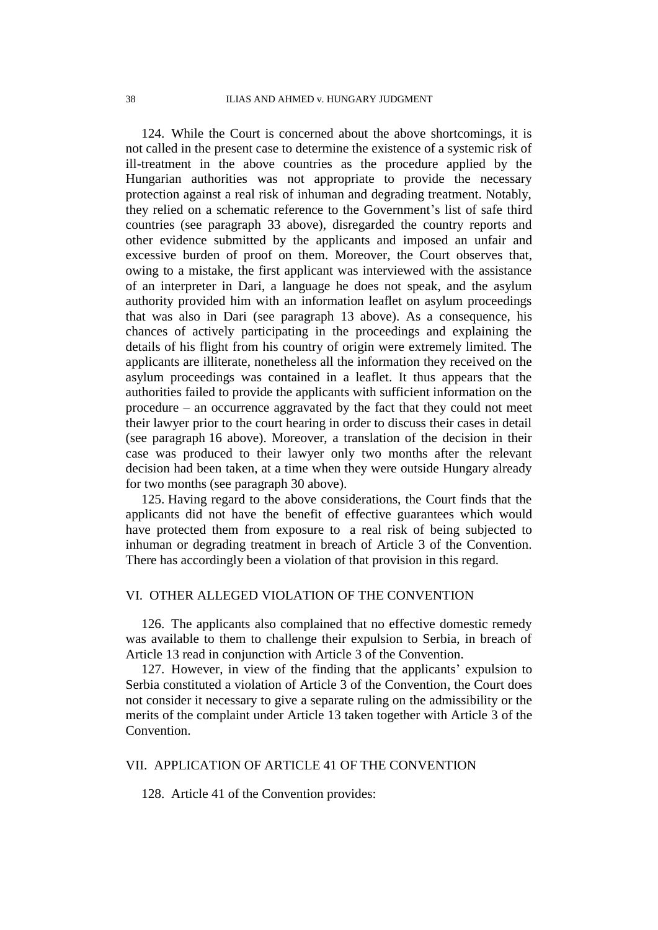124. While the Court is concerned about the above shortcomings, it is not called in the present case to determine the existence of a systemic risk of ill-treatment in the above countries as the procedure applied by the Hungarian authorities was not appropriate to provide the necessary protection against a real risk of inhuman and degrading treatment. Notably, they relied on a schematic reference to the Government's list of safe third countries (see paragraph 33 above), disregarded the country reports and other evidence submitted by the applicants and imposed an unfair and excessive burden of proof on them. Moreover, the Court observes that, owing to a mistake, the first applicant was interviewed with the assistance of an interpreter in Dari, a language he does not speak, and the asylum authority provided him with an information leaflet on asylum proceedings that was also in Dari (see paragraph 13 above). As a consequence, his chances of actively participating in the proceedings and explaining the details of his flight from his country of origin were extremely limited. The applicants are illiterate, nonetheless all the information they received on the asylum proceedings was contained in a leaflet. It thus appears that the authorities failed to provide the applicants with sufficient information on the procedure – an occurrence aggravated by the fact that they could not meet their lawyer prior to the court hearing in order to discuss their cases in detail (see paragraph 16 above). Moreover, a translation of the decision in their case was produced to their lawyer only two months after the relevant decision had been taken, at a time when they were outside Hungary already for two months (see paragraph 30 above).

125. Having regard to the above considerations, the Court finds that the applicants did not have the benefit of effective guarantees which would have protected them from exposure to a real risk of being subjected to inhuman or degrading treatment in breach of Article 3 of the Convention. There has accordingly been a violation of that provision in this regard.

### VI. OTHER ALLEGED VIOLATION OF THE CONVENTION

126. The applicants also complained that no effective domestic remedy was available to them to challenge their expulsion to Serbia, in breach of Article 13 read in conjunction with Article 3 of the Convention.

127. However, in view of the finding that the applicants' expulsion to Serbia constituted a violation of Article 3 of the Convention, the Court does not consider it necessary to give a separate ruling on the admissibility or the merits of the complaint under Article 13 taken together with Article 3 of the Convention.

### VII. APPLICATION OF ARTICLE 41 OF THE CONVENTION

128. Article 41 of the Convention provides: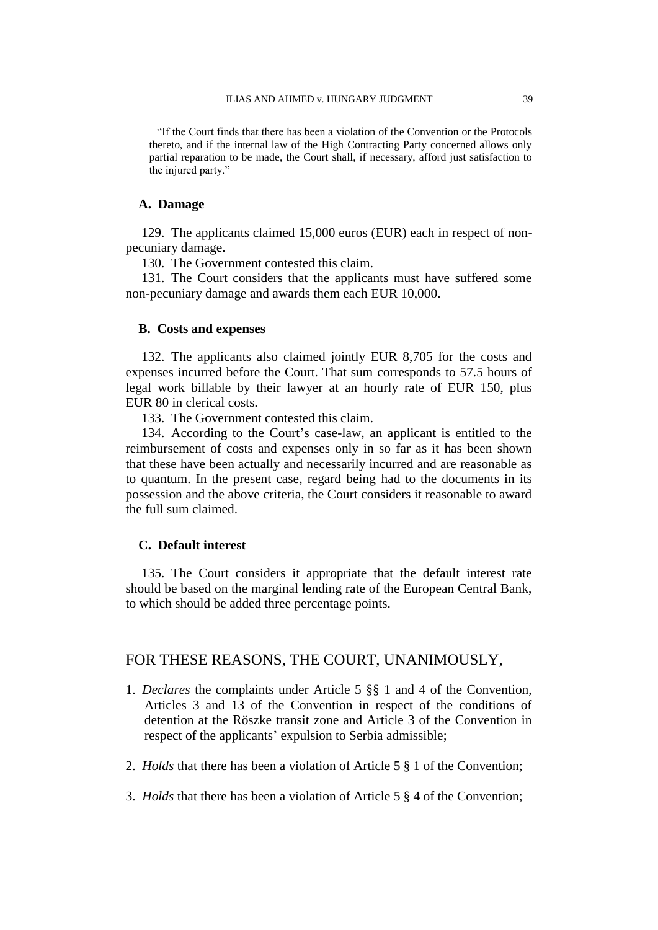"If the Court finds that there has been a violation of the Convention or the Protocols thereto, and if the internal law of the High Contracting Party concerned allows only partial reparation to be made, the Court shall, if necessary, afford just satisfaction to the injured party."

### **A. Damage**

129. The applicants claimed 15,000 euros (EUR) each in respect of nonpecuniary damage.

130. The Government contested this claim.

131. The Court considers that the applicants must have suffered some non-pecuniary damage and awards them each EUR 10,000.

### **B. Costs and expenses**

132. The applicants also claimed jointly EUR 8,705 for the costs and expenses incurred before the Court. That sum corresponds to 57.5 hours of legal work billable by their lawyer at an hourly rate of EUR 150, plus EUR 80 in clerical costs.

133. The Government contested this claim.

134. According to the Court's case-law, an applicant is entitled to the reimbursement of costs and expenses only in so far as it has been shown that these have been actually and necessarily incurred and are reasonable as to quantum. In the present case, regard being had to the documents in its possession and the above criteria, the Court considers it reasonable to award the full sum claimed.

## **C. Default interest**

135. The Court considers it appropriate that the default interest rate should be based on the marginal lending rate of the European Central Bank, to which should be added three percentage points.

## FOR THESE REASONS, THE COURT, UNANIMOUSLY,

- 1. *Declares* the complaints under Article 5 §§ 1 and 4 of the Convention, Articles 3 and 13 of the Convention in respect of the conditions of detention at the Röszke transit zone and Article 3 of the Convention in respect of the applicants' expulsion to Serbia admissible;
- 2. *Holds* that there has been a violation of Article 5 § 1 of the Convention;
- 3. *Holds* that there has been a violation of Article 5 § 4 of the Convention;